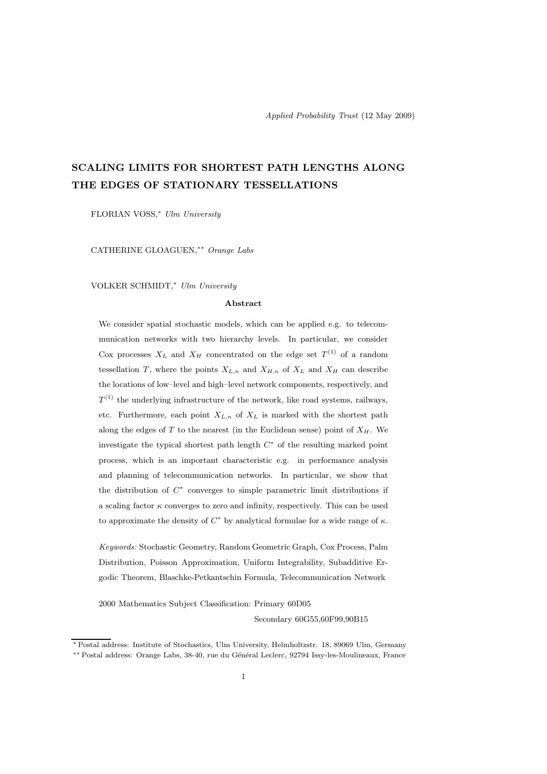# SCALING LIMITS FOR SHORTEST PATH LENGTHS ALONG THE EDGES OF STATIONARY TESSELLATIONS

FLORIAN VOSS,<sup>∗</sup> Ulm University

CATHERINE GLOAGUEN,∗∗ Orange Labs

VOLKER SCHMIDT,<sup>∗</sup> Ulm University

#### Abstract

We consider spatial stochastic models, which can be applied e.g. to telecommunication networks with two hierarchy levels. In particular, we consider Cox processes  $X_L$  and  $X_H$  concentrated on the edge set  $T^{(1)}$  of a random tessellation T, where the points  $X_{L,n}$  and  $X_{H,n}$  of  $X_L$  and  $X_H$  can describe the locations of low–level and high–level network components, respectively, and  $T^{(1)}$  the underlying infrastructure of the network, like road systems, railways, etc. Furthermore, each point  $X_{L,n}$  of  $X_L$  is marked with the shortest path along the edges of  $T$  to the nearest (in the Euclidean sense) point of  $X_H$ . We investigate the typical shortest path length  $C^*$  of the resulting marked point process, which is an important characteristic e.g. in performance analysis and planning of telecommunication networks. In particular, we show that the distribution of  $C^*$  converges to simple parametric limit distributions if a scaling factor  $\kappa$  converges to zero and infinity, respectively. This can be used to approximate the density of  $C^*$  by analytical formulae for a wide range of  $\kappa$ .

Keywords: Stochastic Geometry, Random Geometric Graph, Cox Process, Palm Distribution, Poisson Approximation, Uniform Integrability, Subadditive Ergodic Theorem, Blaschke-Petkantschin Formula, Telecommunication Network

2000 Mathematics Subject Classification: Primary 60D05

Secondary 60G55,60F99,90B15

<sup>∗</sup> Postal address: Institute of Stochastics, Ulm University, Helmholtzstr. 18, 89069 Ulm, Germany ∗∗ Postal address: Orange Labs, 38-40, rue du G´en´eral Leclerc, 92794 Issy-les-Moulineaux, France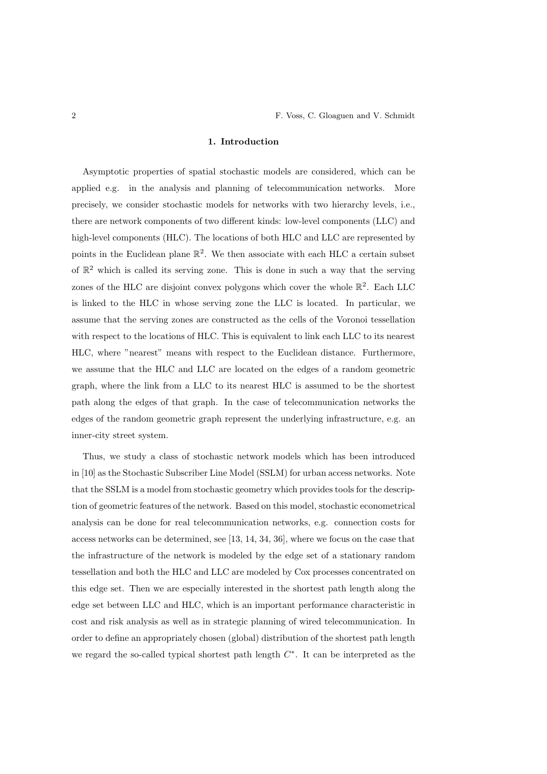## 1. Introduction

Asymptotic properties of spatial stochastic models are considered, which can be applied e.g. in the analysis and planning of telecommunication networks. More precisely, we consider stochastic models for networks with two hierarchy levels, i.e., there are network components of two different kinds: low-level components (LLC) and high-level components (HLC). The locations of both HLC and LLC are represented by points in the Euclidean plane  $\mathbb{R}^2$ . We then associate with each HLC a certain subset of  $\mathbb{R}^2$  which is called its serving zone. This is done in such a way that the serving zones of the HLC are disjoint convex polygons which cover the whole  $\mathbb{R}^2$ . Each LLC is linked to the HLC in whose serving zone the LLC is located. In particular, we assume that the serving zones are constructed as the cells of the Voronoi tessellation with respect to the locations of HLC. This is equivalent to link each LLC to its nearest HLC, where "nearest" means with respect to the Euclidean distance. Furthermore, we assume that the HLC and LLC are located on the edges of a random geometric graph, where the link from a LLC to its nearest HLC is assumed to be the shortest path along the edges of that graph. In the case of telecommunication networks the edges of the random geometric graph represent the underlying infrastructure, e.g. an inner-city street system.

Thus, we study a class of stochastic network models which has been introduced in [10] as the Stochastic Subscriber Line Model (SSLM) for urban access networks. Note that the SSLM is a model from stochastic geometry which provides tools for the description of geometric features of the network. Based on this model, stochastic econometrical analysis can be done for real telecommunication networks, e.g. connection costs for access networks can be determined, see [13, 14, 34, 36], where we focus on the case that the infrastructure of the network is modeled by the edge set of a stationary random tessellation and both the HLC and LLC are modeled by Cox processes concentrated on this edge set. Then we are especially interested in the shortest path length along the edge set between LLC and HLC, which is an important performance characteristic in cost and risk analysis as well as in strategic planning of wired telecommunication. In order to define an appropriately chosen (global) distribution of the shortest path length we regard the so-called typical shortest path length  $C^*$ . It can be interpreted as the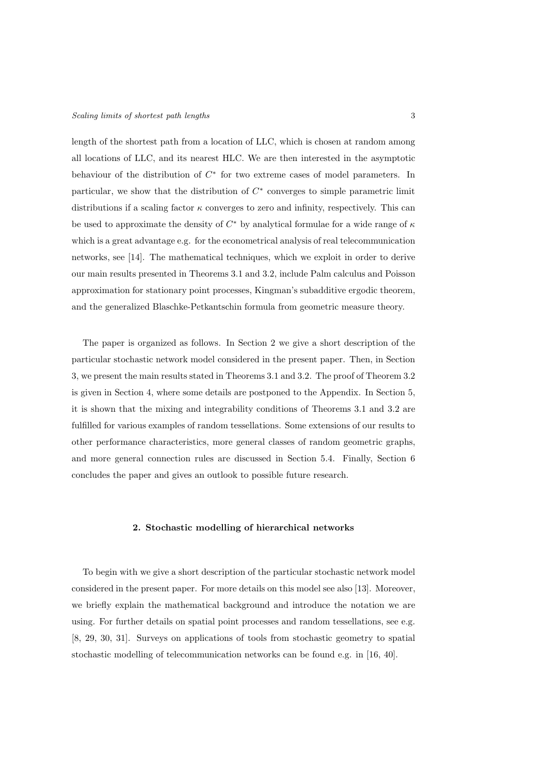length of the shortest path from a location of LLC, which is chosen at random among all locations of LLC, and its nearest HLC. We are then interested in the asymptotic behaviour of the distribution of  $C^*$  for two extreme cases of model parameters. In particular, we show that the distribution of  $C^*$  converges to simple parametric limit distributions if a scaling factor  $\kappa$  converges to zero and infinity, respectively. This can be used to approximate the density of  $C^*$  by analytical formulae for a wide range of  $\kappa$ which is a great advantage e.g. for the econometrical analysis of real telecommunication networks, see [14]. The mathematical techniques, which we exploit in order to derive our main results presented in Theorems 3.1 and 3.2, include Palm calculus and Poisson approximation for stationary point processes, Kingman's subadditive ergodic theorem, and the generalized Blaschke-Petkantschin formula from geometric measure theory.

The paper is organized as follows. In Section 2 we give a short description of the particular stochastic network model considered in the present paper. Then, in Section 3, we present the main results stated in Theorems 3.1 and 3.2. The proof of Theorem 3.2 is given in Section 4, where some details are postponed to the Appendix. In Section 5, it is shown that the mixing and integrability conditions of Theorems 3.1 and 3.2 are fulfilled for various examples of random tessellations. Some extensions of our results to other performance characteristics, more general classes of random geometric graphs, and more general connection rules are discussed in Section 5.4. Finally, Section 6 concludes the paper and gives an outlook to possible future research.

# 2. Stochastic modelling of hierarchical networks

To begin with we give a short description of the particular stochastic network model considered in the present paper. For more details on this model see also [13]. Moreover, we briefly explain the mathematical background and introduce the notation we are using. For further details on spatial point processes and random tessellations, see e.g. [8, 29, 30, 31]. Surveys on applications of tools from stochastic geometry to spatial stochastic modelling of telecommunication networks can be found e.g. in [16, 40].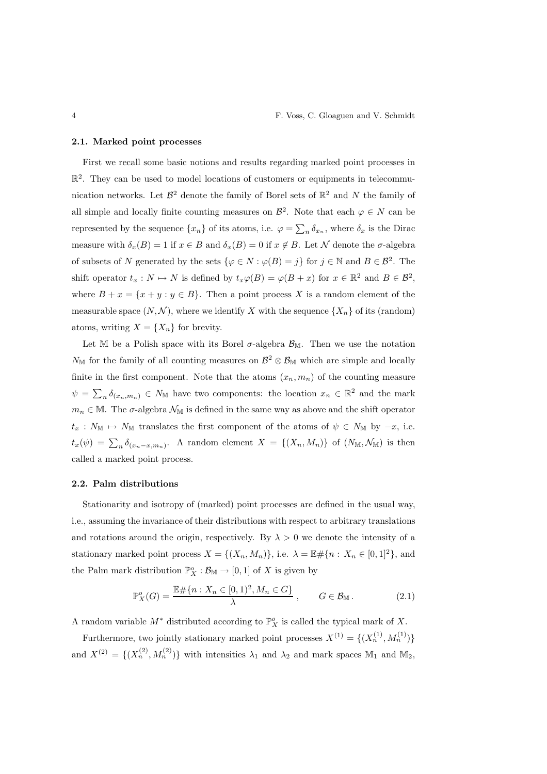#### 2.1. Marked point processes

First we recall some basic notions and results regarding marked point processes in  $\mathbb{R}^2$ . They can be used to model locations of customers or equipments in telecommunication networks. Let  $\mathcal{B}^2$  denote the family of Borel sets of  $\mathbb{R}^2$  and N the family of all simple and locally finite counting measures on  $\mathcal{B}^2$ . Note that each  $\varphi \in N$  can be represented by the sequence  $\{x_n\}$  of its atoms, i.e.  $\varphi = \sum_n \delta_{x_n}$ , where  $\delta_x$  is the Dirac measure with  $\delta_x(B) = 1$  if  $x \in B$  and  $\delta_x(B) = 0$  if  $x \notin B$ . Let N denote the  $\sigma$ -algebra of subsets of N generated by the sets  $\{\varphi \in N : \varphi(B) = j\}$  for  $j \in \mathbb{N}$  and  $B \in \mathcal{B}^2$ . The shift operator  $t_x : N \mapsto N$  is defined by  $t_x\varphi(B) = \varphi(B + x)$  for  $x \in \mathbb{R}^2$  and  $B \in \mathcal{B}^2$ , where  $B + x = \{x + y : y \in B\}$ . Then a point process X is a random element of the measurable space  $(N, \mathcal{N})$ , where we identify X with the sequence  $\{X_n\}$  of its (random) atoms, writing  $X = \{X_n\}$  for brevity.

Let M be a Polish space with its Borel  $\sigma$ -algebra  $\mathcal{B}_{\mathbb{M}}$ . Then we use the notation  $N_{\mathbb{M}}$  for the family of all counting measures on  $\mathcal{B}^2\otimes\mathcal{B}_{\mathbb{M}}$  which are simple and locally finite in the first component. Note that the atoms  $(x_n, m_n)$  of the counting measure  $\psi = \sum_{n} \delta_{(x_n,m_n)} \in N_{\mathbb{M}}$  have two components: the location  $x_n \in \mathbb{R}^2$  and the mark  $m_n \in \mathbb{M}$ . The  $\sigma$ -algebra  $\mathcal{N}_{\mathbb{M}}$  is defined in the same way as above and the shift operator  $t_x : N_{\mathbb{M}} \mapsto N_{\mathbb{M}}$  translates the first component of the atoms of  $\psi \in N_{\mathbb{M}}$  by  $-x$ , i.e.  $t_x(\psi) = \sum_n \delta_{(x_n-x,m_n)}$ . A random element  $X = \{(X_n, M_n)\}\$  of  $(N_M, \mathcal{N}_M)$  is then called a marked point process.

## 2.2. Palm distributions

Stationarity and isotropy of (marked) point processes are defined in the usual way, i.e., assuming the invariance of their distributions with respect to arbitrary translations and rotations around the origin, respectively. By  $\lambda > 0$  we denote the intensity of a stationary marked point process  $X = \{(X_n, M_n)\}\)$ , i.e.  $\lambda = \mathbb{E} \# \{n : X_n \in [0, 1]^2\}$ , and the Palm mark distribution  $\mathbb{P}_{X}^o : \mathcal{B}_{\mathbb{M}} \to [0,1]$  of X is given by

$$
\mathbb{P}^o_X(G) = \frac{\mathbb{E}\#\{n: X_n \in [0,1)^2, M_n \in G\}}{\lambda}, \qquad G \in \mathcal{B}_{\mathbb{M}}.
$$
 (2.1)

A random variable  $M^*$  distributed according to  $\mathbb{P}^\circ_X$  is called the typical mark of X.

Furthermore, two jointly stationary marked point processes  $X^{(1)} = \{(X_n^{(1)}, M_n^{(1)})\}$ and  $X^{(2)} = \{(X_n^{(2)}, M_n^{(2)})\}$  with intensities  $\lambda_1$  and  $\lambda_2$  and mark spaces  $\mathbb{M}_1$  and  $\mathbb{M}_2$ ,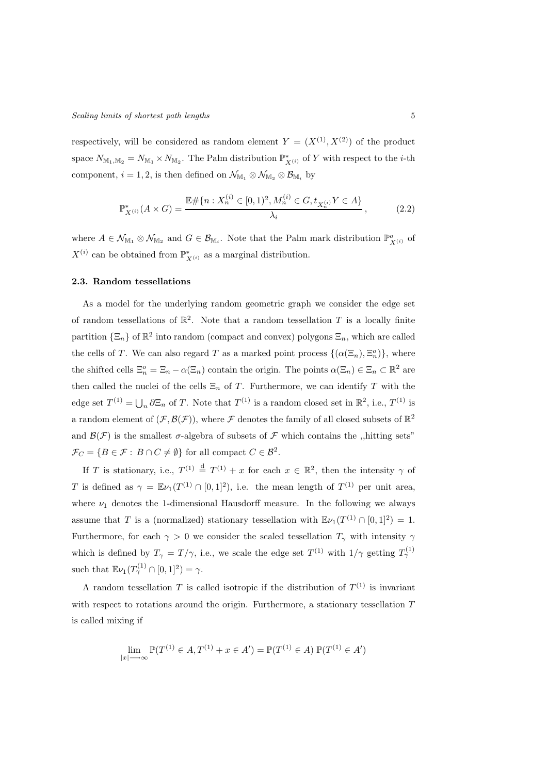respectively, will be considered as random element  $Y = (X^{(1)}, X^{(2)})$  of the product space  $N_{\mathbb{M}_1,\mathbb{M}_2}=N_{\mathbb{M}_1}\times N_{\mathbb{M}_2}$ . The Palm distribution  $\mathbb{P}_{X^{(i)}}^*$  of Y with respect to the *i*-th component,  $i = 1, 2$ , is then defined on  $\mathcal{N}_{\mathbb{M}_1} \otimes \mathcal{N}_{\mathbb{M}_2} \otimes \mathcal{B}_{\mathbb{M}_i}$  by

$$
\mathbb{P}_{X^{(i)}}^*(A \times G) = \frac{\mathbb{E} \# \{ n : X_n^{(i)} \in [0,1)^2, M_n^{(i)} \in G, t_{X_n^{(i)}} Y \in A \}}{\lambda_i},\tag{2.2}
$$

where  $A \in \mathcal{N}_{M_1} \otimes \mathcal{N}_{M_2}$  and  $G \in \mathcal{B}_{M_i}$ . Note that the Palm mark distribution  $\mathbb{P}^o_{X^{(i)}}$  of  $X^{(i)}$  can be obtained from  $\mathbb{P}^*_{X^{(i)}}$  as a marginal distribution.

# 2.3. Random tessellations

As a model for the underlying random geometric graph we consider the edge set of random tessellations of  $\mathbb{R}^2$ . Note that a random tessellation T is a locally finite partition  $\{\Xi_n\}$  of  $\mathbb{R}^2$  into random (compact and convex) polygons  $\Xi_n$ , which are called the cells of T. We can also regard T as a marked point process  $\{(\alpha(\Xi_n), \Xi_n^o)\}\$ , where the shifted cells  $\Xi_n^o = \Xi_n - \alpha(\Xi_n)$  contain the origin. The points  $\alpha(\Xi_n) \in \Xi_n \subset \mathbb{R}^2$  are then called the nuclei of the cells  $\Xi_n$  of T. Furthermore, we can identify T with the edge set  $T^{(1)} = \bigcup_n \partial \Xi_n$  of T. Note that  $T^{(1)}$  is a random closed set in  $\mathbb{R}^2$ , i.e.,  $T^{(1)}$  is a random element of  $(\mathcal{F}, \mathcal{B}(\mathcal{F}))$ , where  $\mathcal F$  denotes the family of all closed subsets of  $\mathbb{R}^2$ and  $\mathcal{B}(\mathcal{F})$  is the smallest  $\sigma$ -algebra of subsets of  $\mathcal F$  which contains the ,,hitting sets"  $\mathcal{F}_C = \{ B \in \mathcal{F} : B \cap C \neq \emptyset \}$  for all compact  $C \in \mathcal{B}^2$ .

If T is stationary, i.e.,  $T^{(1)} \stackrel{d}{=} T^{(1)} + x$  for each  $x \in \mathbb{R}^2$ , then the intensity  $\gamma$  of T is defined as  $\gamma = \mathbb{E}\nu_1(T^{(1)} \cap [0,1]^2)$ , i.e. the mean length of  $T^{(1)}$  per unit area, where  $\nu_1$  denotes the 1-dimensional Hausdorff measure. In the following we always assume that T is a (normalized) stationary tessellation with  $\mathbb{E}\nu_1(T^{(1)} \cap [0,1]^2) = 1$ . Furthermore, for each  $\gamma > 0$  we consider the scaled tessellation  $T_{\gamma}$  with intensity  $\gamma$ which is defined by  $T_{\gamma} = T/\gamma$ , i.e., we scale the edge set  $T^{(1)}$  with  $1/\gamma$  getting  $T_{\gamma}^{(1)}$ such that  $\mathbb{E}\nu_1(T^{(1)}_{\gamma}\cap [0,1]^2)=\gamma.$ 

A random tessellation T is called isotropic if the distribution of  $T^{(1)}$  is invariant with respect to rotations around the origin. Furthermore, a stationary tessellation  $T$ is called mixing if

$$
\lim_{|x| \to \infty} \mathbb{P}(T^{(1)} \in A, T^{(1)} + x \in A') = \mathbb{P}(T^{(1)} \in A) \mathbb{P}(T^{(1)} \in A')
$$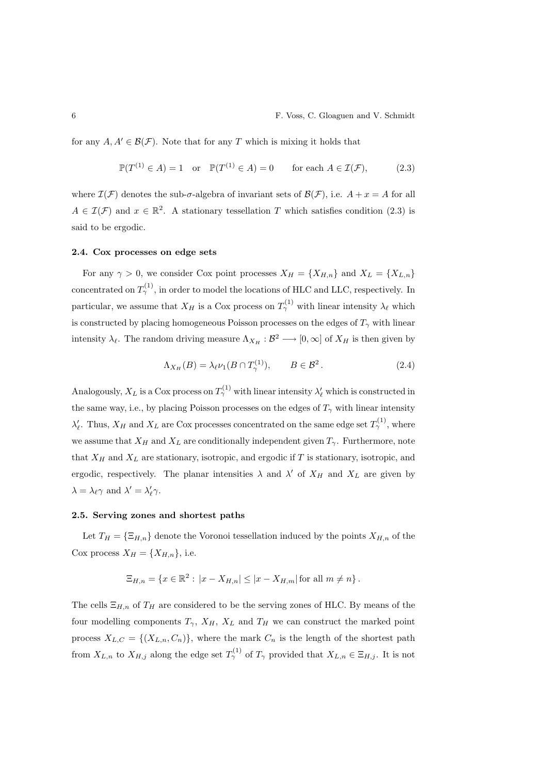for any  $A, A' \in \mathcal{B}(\mathcal{F})$ . Note that for any T which is mixing it holds that

$$
\mathbb{P}(T^{(1)} \in A) = 1 \quad \text{or} \quad \mathbb{P}(T^{(1)} \in A) = 0 \qquad \text{for each } A \in \mathcal{I}(\mathcal{F}), \tag{2.3}
$$

where  $\mathcal{I}(\mathcal{F})$  denotes the sub- $\sigma$ -algebra of invariant sets of  $\mathcal{B}(\mathcal{F})$ , i.e.  $A + x = A$  for all  $A \in \mathcal{I}(\mathcal{F})$  and  $x \in \mathbb{R}^2$ . A stationary tessellation T which satisfies condition (2.3) is said to be ergodic.

#### 2.4. Cox processes on edge sets

For any  $\gamma > 0$ , we consider Cox point processes  $X_H = \{X_{H,n}\}\$  and  $X_L = \{X_{L,n}\}\$ concentrated on  $T^{(1)}_{\gamma}$ , in order to model the locations of HLC and LLC, respectively. In particular, we assume that  $X_H$  is a Cox process on  $T^{(1)}_{\gamma}$  with linear intensity  $\lambda_{\ell}$  which is constructed by placing homogeneous Poisson processes on the edges of  $T_{\gamma}$  with linear intensity  $\lambda_{\ell}$ . The random driving measure  $\Lambda_{X_H} : \mathcal{B}^2 \longrightarrow [0, \infty]$  of  $X_H$  is then given by

$$
\Lambda_{X_H}(B) = \lambda_{\ell} \nu_1(B \cap T_{\gamma}^{(1)}), \qquad B \in \mathcal{B}^2. \tag{2.4}
$$

Analogously,  $X_L$  is a Cox process on  $T^{(1)}_\gamma$  with linear intensity  $\lambda'_\ell$  which is constructed in the same way, i.e., by placing Poisson processes on the edges of  $T_{\gamma}$  with linear intensity  $\lambda'_{\ell}$ . Thus,  $X_H$  and  $X_L$  are Cox processes concentrated on the same edge set  $T_{\gamma}^{(1)}$ , where we assume that  $X_H$  and  $X_L$  are conditionally independent given  $T_\gamma$ . Furthermore, note that  $X_H$  and  $X_L$  are stationary, isotropic, and ergodic if T is stationary, isotropic, and ergodic, respectively. The planar intensities  $\lambda$  and  $\lambda'$  of  $X_H$  and  $X_L$  are given by  $\lambda = \lambda_{\ell} \gamma$  and  $\lambda' = \lambda'_{\ell} \gamma$ .

#### 2.5. Serving zones and shortest paths

Let  $T_H = \{\Xi_{H,n}\}\$  denote the Voronoi tessellation induced by the points  $X_{H,n}$  of the Cox process  $X_H = \{X_{H,n}\}\text{, i.e.}$ 

$$
\Xi_{H,n} = \{ x \in \mathbb{R}^2 : |x - X_{H,n}| \le |x - X_{H,m}| \text{ for all } m \ne n \}.
$$

The cells  $\Xi_{H,n}$  of  $T_H$  are considered to be the serving zones of HLC. By means of the four modelling components  $T_{\gamma}$ ,  $X_H$ ,  $X_L$  and  $T_H$  we can construct the marked point process  $X_{L,C} = \{(X_{L,n}, C_n)\}\$ , where the mark  $C_n$  is the length of the shortest path from  $X_{L,n}$  to  $X_{H,j}$  along the edge set  $T_{\gamma}^{(1)}$  of  $T_{\gamma}$  provided that  $X_{L,n} \in \Xi_{H,j}$ . It is not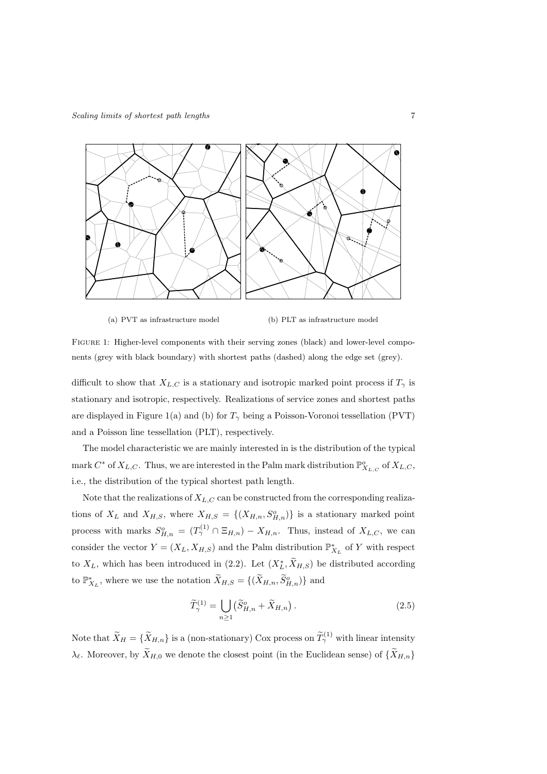

(a) PVT as infrastructure model (b) PLT as infrastructure model

Figure 1: Higher-level components with their serving zones (black) and lower-level components (grey with black boundary) with shortest paths (dashed) along the edge set (grey).

difficult to show that  $X_{L,C}$  is a stationary and isotropic marked point process if  $T_{\gamma}$  is stationary and isotropic, respectively. Realizations of service zones and shortest paths are displayed in Figure 1(a) and (b) for  $T_{\gamma}$  being a Poisson-Voronoi tessellation (PVT) and a Poisson line tessellation (PLT), respectively.

The model characteristic we are mainly interested in is the distribution of the typical mark  $C^*$  of  $X_{L,C}$ . Thus, we are interested in the Palm mark distribution  $\mathbb{P}^o_{X_{L,C}}$  of  $X_{L,C}$ , i.e., the distribution of the typical shortest path length.

Note that the realizations of  $X_{L,C}$  can be constructed from the corresponding realizations of  $X_L$  and  $X_{H,S}$ , where  $X_{H,S} = \{(X_{H,n}, S_{H,n}^o)\}\$ is a stationary marked point process with marks  $S_{H,n}^o = (T_\gamma^{(1)} \cap \Xi_{H,n}) - X_{H,n}$ . Thus, instead of  $X_{L,C}$ , we can consider the vector  $Y = (X_L, X_{H,S})$  and the Palm distribution  $\mathbb{P}_{X_L}^*$  of Y with respect to  $X_L$ , which has been introduced in (2.2). Let  $(X_L^*, \tilde{X}_{H,S})$  be distributed according to  $\mathbb{P}_{X_L}^*$ , where we use the notation  $\widetilde{X}_{H,S} = \{(\widetilde{X}_{H,n}, \widetilde{S}_{H,n}^o)\}\)$  and

$$
\widetilde{T}_{\gamma}^{(1)} = \bigcup_{n \ge 1} \left( \widetilde{S}_{H,n}^o + \widetilde{X}_{H,n} \right). \tag{2.5}
$$

Note that  $\widetilde{X}_H = \{ \widetilde{X}_{H,n} \}$  is a (non-stationary) Cox process on  $\widetilde{T}_{\gamma}^{(1)}$  with linear intensity  $\lambda_{\ell}$ . Moreover, by  $\widetilde{X}_{H,0}$  we denote the closest point (in the Euclidean sense) of  $\{\widetilde{X}_{H,n}\}$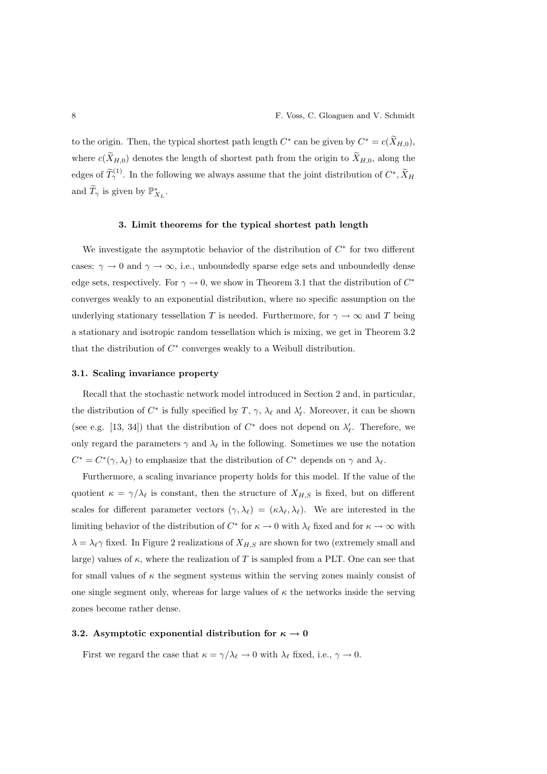to the origin. Then, the typical shortest path length  $C^*$  can be given by  $C^* = c(\tilde{X}_{H,0}),$ where  $c(\tilde{X}_{H,0})$  denotes the length of shortest path from the origin to  $\tilde{X}_{H,0}$ , along the edges of  $\widetilde{T}_{\gamma}^{(1)}$ . In the following we always assume that the joint distribution of  $C^*, \widetilde{X}_H$ and  $\widetilde{T}_{\gamma}$  is given by  $\mathbb{P}_{X_L}^*$ .

# 3. Limit theorems for the typical shortest path length

We investigate the asymptotic behavior of the distribution of  $C^*$  for two different cases:  $\gamma \to 0$  and  $\gamma \to \infty$ , i.e., unboundedly sparse edge sets and unboundedly dense edge sets, respectively. For  $\gamma \to 0$ , we show in Theorem 3.1 that the distribution of  $C^*$ converges weakly to an exponential distribution, where no specific assumption on the underlying stationary tessellation T is needed. Furthermore, for  $\gamma \to \infty$  and T being a stationary and isotropic random tessellation which is mixing, we get in Theorem 3.2 that the distribution of  $C^*$  converges weakly to a Weibull distribution.

#### 3.1. Scaling invariance property

Recall that the stochastic network model introduced in Section 2 and, in particular, the distribution of  $C^*$  is fully specified by  $T$ ,  $\gamma$ ,  $\lambda_{\ell}$  and  $\lambda'_{\ell}$ . Moreover, it can be shown (see e.g. [13, 34]) that the distribution of  $C^*$  does not depend on  $\lambda'_{\ell}$ . Therefore, we only regard the parameters  $\gamma$  and  $\lambda_{\ell}$  in the following. Sometimes we use the notation  $C^* = C^*(\gamma, \lambda_\ell)$  to emphasize that the distribution of  $C^*$  depends on  $\gamma$  and  $\lambda_\ell$ .

Furthermore, a scaling invariance property holds for this model. If the value of the quotient  $\kappa = \gamma/\lambda_{\ell}$  is constant, then the structure of  $X_{H,S}$  is fixed, but on different scales for different parameter vectors  $(\gamma, \lambda_{\ell}) = (\kappa \lambda_{\ell}, \lambda_{\ell}).$  We are interested in the limiting behavior of the distribution of  $C^*$  for  $\kappa \to 0$  with  $\lambda_{\ell}$  fixed and for  $\kappa \to \infty$  with  $\lambda = \lambda_{\ell} \gamma$  fixed. In Figure 2 realizations of  $X_{H,S}$  are shown for two (extremely small and large) values of  $\kappa$ , where the realization of T is sampled from a PLT. One can see that for small values of  $\kappa$  the segment systems within the serving zones mainly consist of one single segment only, whereas for large values of  $\kappa$  the networks inside the serving zones become rather dense.

#### 3.2. Asymptotic exponential distribution for  $\kappa \to 0$

First we regard the case that  $\kappa = \gamma/\lambda_{\ell} \to 0$  with  $\lambda_{\ell}$  fixed, i.e.,  $\gamma \to 0$ .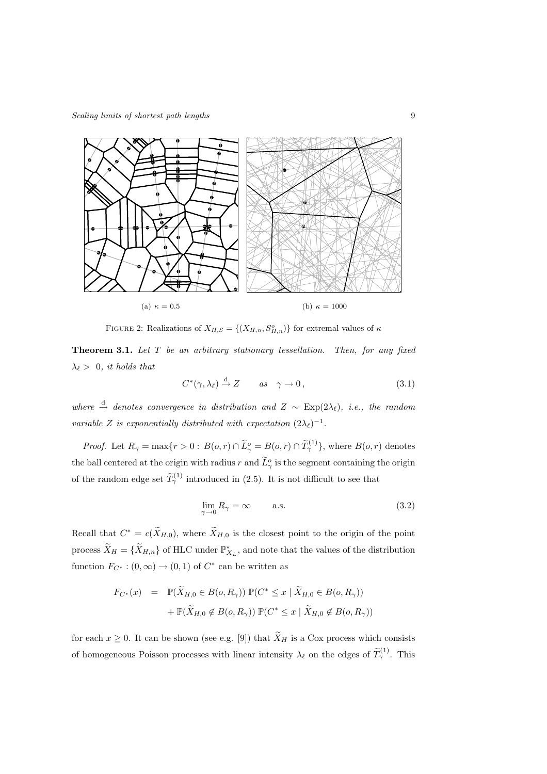

FIGURE 2: Realizations of  $X_{H,S} = \{(X_{H,n}, S_{H,n}^o)\}\)$  for extremal values of  $\kappa$ 

Theorem 3.1. *Let* T *be an arbitrary stationary tessellation. Then, for any fixed*  $\lambda_{\ell} > 0$ , *it holds that* 

$$
C^*(\gamma, \lambda_\ell) \stackrel{\mathrm{d}}{\to} Z \qquad \text{as} \quad \gamma \to 0, \tag{3.1}
$$

*where*  $\stackrel{\text{d}}{\rightarrow}$  *denotes convergence in distribution and*  $Z \sim \text{Exp}(2\lambda_\ell)$ *, i.e., the random variable* Z *is exponentially distributed with expectation*  $(2\lambda_\ell)^{-1}$ *.* 

*Proof.* Let  $R_{\gamma} = \max\{r > 0: B(o, r) \cap \tilde{L}_{\gamma}^o = B(o, r) \cap \tilde{T}_{\gamma}^{(1)}\}$ , where  $B(o, r)$  denotes the ball centered at the origin with radius r and  $\tilde{L}_{\gamma}^o$  is the segment containing the origin of the random edge set  $\widetilde{T}_{\gamma}^{(1)}$  introduced in (2.5). It is not difficult to see that

$$
\lim_{\gamma \to 0} R_{\gamma} = \infty \qquad \text{a.s.} \tag{3.2}
$$

Recall that  $C^* = c(\bar{X}_{H,0})$ , where  $\bar{X}_{H,0}$  is the closest point to the origin of the point process  $\widetilde{X}_H = \{ \widetilde{X}_{H,n} \}$  of HLC under  $\mathbb{P}_{X_L}^*$ , and note that the values of the distribution function  $F_{C^*}: (0, \infty) \to (0, 1)$  of  $C^*$  can be written as

$$
F_{C^*}(x) = \mathbb{P}(\widetilde{X}_{H,0} \in B(o, R_\gamma)) \mathbb{P}(C^* \le x \mid \widetilde{X}_{H,0} \in B(o, R_\gamma))
$$

$$
+ \mathbb{P}(\widetilde{X}_{H,0} \notin B(o, R_\gamma)) \mathbb{P}(C^* \le x \mid \widetilde{X}_{H,0} \notin B(o, R_\gamma))
$$

for each  $x \geq 0$ . It can be shown (see e.g. [9]) that  $\widetilde{X}_H$  is a Cox process which consists of homogeneous Poisson processes with linear intensity  $\lambda_{\ell}$  on the edges of  $\tilde{T}_{\gamma}^{(1)}$ . This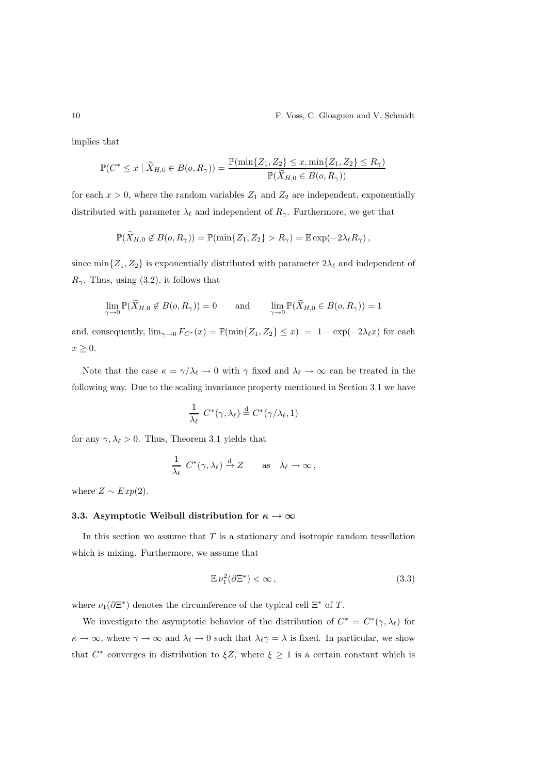implies that

$$
\mathbb{P}(C^* \leq x \mid \widetilde{X}_{H,0} \in B(o, R_\gamma)) = \frac{\mathbb{P}(\min\{Z_1, Z_2\} \leq x, \min\{Z_1, Z_2\} \leq R_\gamma)}{\mathbb{P}(\widetilde{X}_{H,0} \in B(o, R_\gamma))}
$$

for each  $x > 0$ , where the random variables  $Z_1$  and  $Z_2$  are independent, exponentially distributed with parameter  $\lambda_{\ell}$  and independent of  $R_{\gamma}$ . Furthermore, we get that

$$
\mathbb{P}(\widetilde{X}_{H,0} \notin B(o,R_{\gamma})) = \mathbb{P}(\min\{Z_1,Z_2\} > R_{\gamma}) = \mathbb{E}\exp(-2\lambda_{\ell}R_{\gamma}),
$$

since min $\{Z_1, Z_2\}$  is exponentially distributed with parameter  $2\lambda_\ell$  and independent of  $R_{\gamma}$ . Thus, using (3.2), it follows that

$$
\lim_{\gamma \to 0} \mathbb{P}(\widetilde{X}_{H,0} \notin B(o, R_{\gamma})) = 0 \quad \text{and} \quad \lim_{\gamma \to 0} \mathbb{P}(\widetilde{X}_{H,0} \in B(o, R_{\gamma})) = 1
$$

and, consequently,  $\lim_{\gamma \to 0} F_{C^*}(x) = \mathbb{P}(\min\{Z_1, Z_2\} \leq x) = 1 - \exp(-2\lambda_\ell x)$  for each  $x \geq 0$ .

Note that the case  $\kappa = \gamma/\lambda_{\ell} \to 0$  with  $\gamma$  fixed and  $\lambda_{\ell} \to \infty$  can be treated in the following way. Due to the scaling invariance property mentioned in Section 3.1 we have

$$
\frac{1}{\lambda_{\ell}} C^*(\gamma, \lambda_{\ell}) \stackrel{\text{d}}{=} C^*(\gamma/\lambda_{\ell}, 1)
$$

for any  $\gamma, \lambda_{\ell} > 0$ . Thus, Theorem 3.1 yields that

$$
\frac{1}{\lambda_{\ell}} C^*(\gamma, \lambda_{\ell}) \stackrel{d}{\to} Z \quad \text{as} \quad \lambda_{\ell} \to \infty,
$$

where  $Z \sim Exp(2)$ .

# 3.3. Asymptotic Weibull distribution for  $\kappa \to \infty$

In this section we assume that  $T$  is a stationary and isotropic random tessellation which is mixing. Furthermore, we assume that

$$
\mathbb{E}\,\nu_1^2(\partial\Xi^*) < \infty\,,\tag{3.3}
$$

where  $\nu_1(\partial \Xi^*)$  denotes the circumference of the typical cell  $\Xi^*$  of T.

We investigate the asymptotic behavior of the distribution of  $C^* = C^*(\gamma, \lambda_\ell)$  for  $\kappa \to \infty$ , where  $\gamma \to \infty$  and  $\lambda_{\ell} \to 0$  such that  $\lambda_{\ell} \gamma = \lambda$  is fixed. In particular, we show that  $C^*$  converges in distribution to  $\xi Z$ , where  $\xi \geq 1$  is a certain constant which is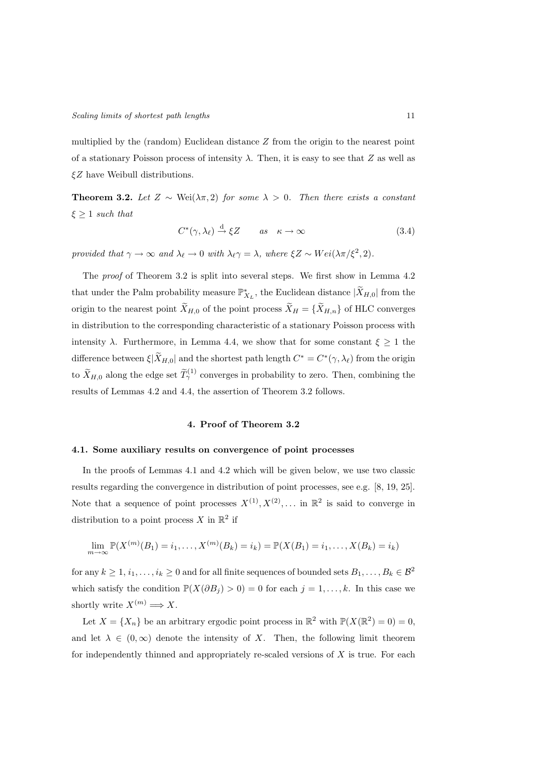multiplied by the (random) Euclidean distance  $Z$  from the origin to the nearest point of a stationary Poisson process of intensity  $\lambda$ . Then, it is easy to see that Z as well as  $\xi Z$  have Weibull distributions.

Theorem 3.2. *Let*  $Z$  ∼ Wei( $\lambda \pi$ , 2) *for some*  $\lambda > 0$ *. Then there exists a constant*  $\xi \geq 1$  *such that* 

$$
C^*(\gamma, \lambda_\ell) \stackrel{\mathrm{d}}{\to} \xi Z \qquad \text{as} \quad \kappa \to \infty \tag{3.4}
$$

*provided that*  $\gamma \to \infty$  *and*  $\lambda_{\ell} \to 0$  *with*  $\lambda_{\ell} \gamma = \lambda$ *, where*  $\xi Z \sim Wei(\lambda \pi/\xi^2, 2)$ *.* 

The *proof* of Theorem 3.2 is split into several steps. We first show in Lemma 4.2 that under the Palm probability measure  $\mathbb{P}_{X_L}^*$ , the Euclidean distance  $|\widetilde{X}_{H,0}|$  from the origin to the nearest point  $\widetilde{X}_{H,0}$  of the point process  $\widetilde{X}_H = {\widetilde{X}_{H,n}}$  of HLC converges in distribution to the corresponding characteristic of a stationary Poisson process with intensity  $\lambda$ . Furthermore, in Lemma 4.4, we show that for some constant  $\xi \geq 1$  the difference between  $\xi|\tilde{X}_{H,0}|$  and the shortest path length  $C^* = C^*(\gamma, \lambda_\ell)$  from the origin to  $\widetilde{X}_{H,0}$  along the edge set  $\widetilde{T}_{\gamma}^{(1)}$  converges in probability to zero. Then, combining the results of Lemmas 4.2 and 4.4, the assertion of Theorem 3.2 follows.

# 4. Proof of Theorem 3.2

## 4.1. Some auxiliary results on convergence of point processes

In the proofs of Lemmas 4.1 and 4.2 which will be given below, we use two classic results regarding the convergence in distribution of point processes, see e.g. [8, 19, 25]. Note that a sequence of point processes  $X^{(1)}, X^{(2)}, \dots$  in  $\mathbb{R}^2$  is said to converge in distribution to a point process X in  $\mathbb{R}^2$  if

$$
\lim_{m \to \infty} \mathbb{P}(X^{(m)}(B_1) = i_1, \dots, X^{(m)}(B_k) = i_k) = \mathbb{P}(X(B_1) = i_1, \dots, X(B_k) = i_k)
$$

for any  $k \geq 1, i_1, \ldots, i_k \geq 0$  and for all finite sequences of bounded sets  $B_1, \ldots, B_k \in \mathcal{B}^2$ which satisfy the condition  $\mathbb{P}(X(\partial B_j) > 0) = 0$  for each  $j = 1, ..., k$ . In this case we shortly write  $X^{(m)} \Longrightarrow X$ .

Let  $X = \{X_n\}$  be an arbitrary ergodic point process in  $\mathbb{R}^2$  with  $\mathbb{P}(X(\mathbb{R}^2) = 0) = 0$ , and let  $\lambda \in (0,\infty)$  denote the intensity of X. Then, the following limit theorem for independently thinned and appropriately re-scaled versions of  $X$  is true. For each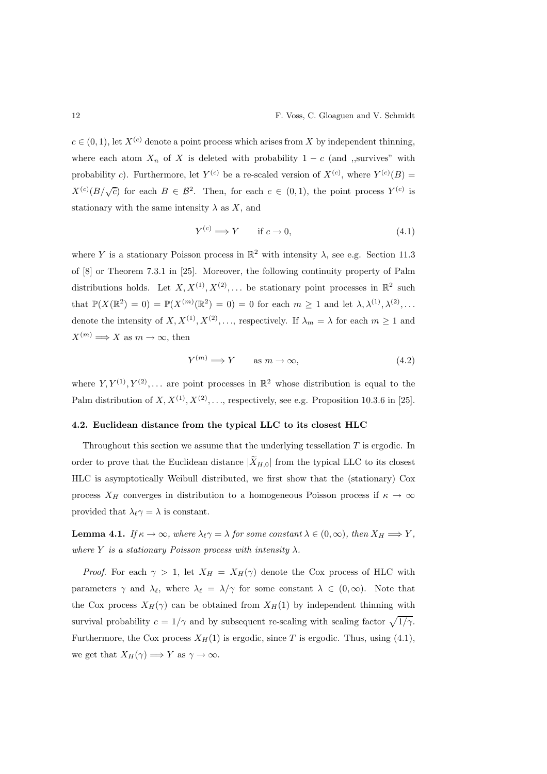$c \in (0, 1)$ , let  $X^{(c)}$  denote a point process which arises from X by independent thinning, where each atom  $X_n$  of X is deleted with probability  $1 - c$  (and ,,survives" with probability c). Furthermore, let  $Y^{(c)}$  be a re-scaled version of  $X^{(c)}$ , where  $Y^{(c)}(B)$  =  $X^{(c)}(B/\sqrt{c})$  for each  $B \in \mathcal{B}^2$ . Then, for each  $c \in (0,1)$ , the point process  $Y^{(c)}$  is stationary with the same intensity  $\lambda$  as X, and

$$
Y^{(c)} \Longrightarrow Y \qquad \text{if } c \to 0,\tag{4.1}
$$

where Y is a stationary Poisson process in  $\mathbb{R}^2$  with intensity  $\lambda$ , see e.g. Section 11.3 of [8] or Theorem 7.3.1 in [25]. Moreover, the following continuity property of Palm distributions holds. Let  $X, X^{(1)}, X^{(2)}, \dots$  be stationary point processes in  $\mathbb{R}^2$  such that  $\mathbb{P}(X(\mathbb{R}^2) = 0) = \mathbb{P}(X^{(m)}(\mathbb{R}^2) = 0) = 0$  for each  $m \geq 1$  and let  $\lambda, \lambda^{(1)}, \lambda^{(2)}, \ldots$ denote the intensity of  $X, X^{(1)}, X^{(2)}, \ldots$ , respectively. If  $\lambda_m = \lambda$  for each  $m \ge 1$  and  $X^{(m)} \Longrightarrow X$  as  $m \to \infty$ , then

$$
Y^{(m)} \Longrightarrow Y \qquad \text{as } m \to \infty,
$$
\n(4.2)

where  $Y, Y^{(1)}, Y^{(2)}, \ldots$  are point processes in  $\mathbb{R}^2$  whose distribution is equal to the Palm distribution of  $X, X^{(1)}, X^{(2)}, \ldots$ , respectively, see e.g. Proposition 10.3.6 in [25].

## 4.2. Euclidean distance from the typical LLC to its closest HLC

Throughout this section we assume that the underlying tessellation  $T$  is ergodic. In order to prove that the Euclidean distance  $|\widetilde{X}_{H,0}|$  from the typical LLC to its closest HLC is asymptotically Weibull distributed, we first show that the (stationary) Cox process  $X_H$  converges in distribution to a homogeneous Poisson process if  $\kappa \to \infty$ provided that  $\lambda_{\ell} \gamma = \lambda$  is constant.

**Lemma 4.1.** *If*  $\kappa \to \infty$ *, where*  $\lambda_{\ell} \gamma = \lambda$  *for some constant*  $\lambda \in (0, \infty)$ *, then*  $X_H \Longrightarrow Y$ *, where* Y *is a stationary Poisson process with intensity*  $\lambda$ *.* 

*Proof.* For each  $\gamma > 1$ , let  $X_H = X_H(\gamma)$  denote the Cox process of HLC with parameters  $\gamma$  and  $\lambda_{\ell}$ , where  $\lambda_{\ell} = \lambda/\gamma$  for some constant  $\lambda \in (0,\infty)$ . Note that the Cox process  $X_H(\gamma)$  can be obtained from  $X_H(1)$  by independent thinning with survival probability  $c = 1/\gamma$  and by subsequent re-scaling with scaling factor  $\sqrt{1/\gamma}$ . Furthermore, the Cox process  $X_H(1)$  is ergodic, since T is ergodic. Thus, using (4.1), we get that  $X_H(\gamma) \Longrightarrow Y$  as  $\gamma \to \infty$ .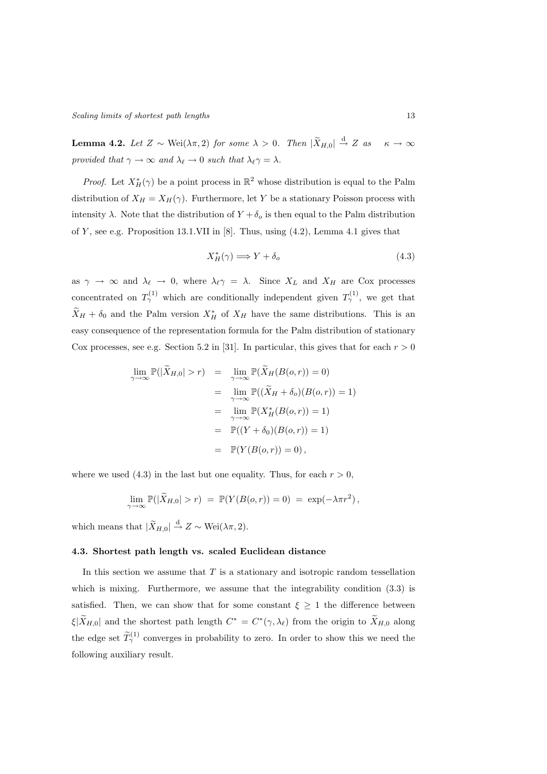**Lemma 4.2.** *Let*  $Z \sim \text{Wei}(\lambda \pi, 2)$  *for some*  $\lambda > 0$ *. Then*  $|\widetilde{X}_{H,0}| \stackrel{d}{\rightarrow} Z$  *as*  $\kappa \to \infty$ *provided that*  $\gamma \to \infty$  *and*  $\lambda_{\ell} \to 0$  *such that*  $\lambda_{\ell} \gamma = \lambda$ *.* 

*Proof.* Let  $X^*_H(\gamma)$  be a point process in  $\mathbb{R}^2$  whose distribution is equal to the Palm distribution of  $X_H = X_H(\gamma)$ . Furthermore, let Y be a stationary Poisson process with intensity  $\lambda$ . Note that the distribution of  $Y + \delta_o$  is then equal to the Palm distribution of Y, see e.g. Proposition 13.1.VII in [8]. Thus, using  $(4.2)$ , Lemma 4.1 gives that

$$
X_H^*(\gamma) \Longrightarrow Y + \delta_o \tag{4.3}
$$

as  $\gamma \to \infty$  and  $\lambda_{\ell} \to 0$ , where  $\lambda_{\ell} \gamma = \lambda$ . Since  $X_L$  and  $X_H$  are Cox processes concentrated on  $T_{\gamma}^{(1)}$  which are conditionally independent given  $T_{\gamma}^{(1)}$ , we get that  $\tilde{X}_H + \delta_0$  and the Palm version  $X_H^*$  of  $X_H$  have the same distributions. This is an easy consequence of the representation formula for the Palm distribution of stationary Cox processes, see e.g. Section 5.2 in [31]. In particular, this gives that for each  $r > 0$ 

$$
\lim_{\gamma \to \infty} \mathbb{P}(|\widetilde{X}_{H,0}| > r) = \lim_{\gamma \to \infty} \mathbb{P}(\widetilde{X}_H(B(o,r)) = 0)
$$
  
\n
$$
= \lim_{\gamma \to \infty} \mathbb{P}((\widetilde{X}_H + \delta_o)(B(o,r)) = 1)
$$
  
\n
$$
= \lim_{\gamma \to \infty} \mathbb{P}(X_H^*(B(o,r)) = 1)
$$
  
\n
$$
= \mathbb{P}((Y + \delta_0)(B(o,r)) = 1)
$$
  
\n
$$
= \mathbb{P}(Y(B(o,r)) = 0),
$$

where we used (4.3) in the last but one equality. Thus, for each  $r > 0$ ,

$$
\lim_{\gamma \to \infty} \mathbb{P}(|\widetilde{X}_{H,0}| > r) = \mathbb{P}(Y(B(o,r)) = 0) = \exp(-\lambda \pi r^2),
$$

which means that  $|\widetilde{X}_{H,0}| \stackrel{\rm d}{\to} Z \sim \text{Wei}(\lambda \pi, 2)$ .

## 4.3. Shortest path length vs. scaled Euclidean distance

In this section we assume that  $T$  is a stationary and isotropic random tessellation which is mixing. Furthermore, we assume that the integrability condition  $(3.3)$  is satisfied. Then, we can show that for some constant  $\xi \geq 1$  the difference between  $\xi|\tilde{X}_{H,0}|$  and the shortest path length  $C^* = C^*(\gamma, \lambda_\ell)$  from the origin to  $\tilde{X}_{H,0}$  along the edge set  $\widetilde{T}_{\gamma}^{(1)}$  converges in probability to zero. In order to show this we need the following auxiliary result.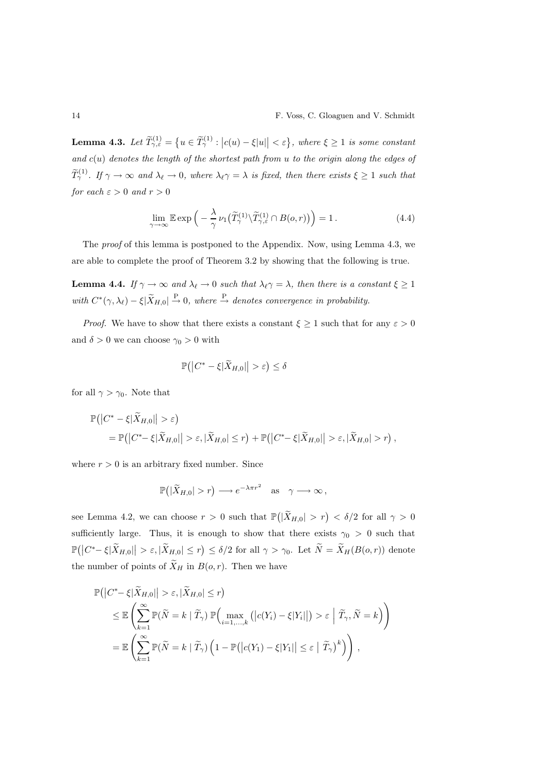$\textbf{Lemma 4.3.} \ \ Let \ \widetilde{T}_{\gamma,\varepsilon}^{(1)} = \left\{ u \in \widetilde{T}_{\gamma}^{(1)} : \left| c(u) - \xi |u| \right| < \varepsilon \right\}, \ where \ \xi \geq 1 \ \ is \ some \ constant$ *and* c(u) *denotes the length of the shortest path from* u *to the origin along the edges of*  $\widetilde{T}_{\gamma}^{(1)}$ . If  $\gamma \to \infty$  and  $\lambda_{\ell} \to 0$ , where  $\lambda_{\ell} \gamma = \lambda$  is fixed, then there exists  $\xi \geq 1$  such that *for each*  $\varepsilon > 0$  *and*  $r > 0$ 

$$
\lim_{\gamma \to \infty} \mathbb{E} \exp \left( -\frac{\lambda}{\gamma} \nu_1 \left( \widetilde{T}_{\gamma}^{(1)} \setminus \widetilde{T}_{\gamma,\varepsilon}^{(1)} \cap B(o,r) \right) \right) = 1. \tag{4.4}
$$

The *proof* of this lemma is postponed to the Appendix. Now, using Lemma 4.3, we are able to complete the proof of Theorem 3.2 by showing that the following is true.

**Lemma 4.4.** *If*  $\gamma \to \infty$  *and*  $\lambda_{\ell} \to 0$  *such that*  $\lambda_{\ell} \gamma = \lambda$ *, then there is a constant*  $\xi \ge 1$ with  $C^*(\gamma, \lambda_\ell) - \xi | \widetilde{X}_{H,0} | \stackrel{\text{P}}{\rightarrow} 0$ , where  $\stackrel{\text{P}}{\rightarrow}$  denotes convergence in probability.

*Proof.* We have to show that there exists a constant  $\xi \geq 1$  such that for any  $\varepsilon > 0$ and  $\delta > 0$  we can choose  $\gamma_0 > 0$  with

$$
\mathbb{P} \big( \big| C^* - \xi | \widetilde{X}_{H,0} | \big| > \varepsilon \big) \leq \delta
$$

for all  $\gamma > \gamma_0$ . Note that

$$
\mathbb{P}(|C^* - \xi|\widetilde{X}_{H,0}|| > \varepsilon)
$$
  
= 
$$
\mathbb{P}(|C^* - \xi|\widetilde{X}_{H,0}|| > \varepsilon, |\widetilde{X}_{H,0}| \le r) + \mathbb{P}(|C^* - \xi|\widetilde{X}_{H,0}|| > \varepsilon, |\widetilde{X}_{H,0}| > r),
$$

where  $r > 0$  is an arbitrary fixed number. Since

$$
\mathbb{P}(|\widetilde{X}_{H,0}|>r) \longrightarrow e^{-\lambda\pi r^2} \quad \text{as} \quad \gamma \longrightarrow \infty,
$$

see Lemma 4.2, we can choose  $r > 0$  such that  $\mathbb{P}(|\widetilde{X}_{H,0}| > r) < \delta/2$  for all  $\gamma > 0$ sufficiently large. Thus, it is enough to show that there exists  $\gamma_0 > 0$  such that  $\mathbb{P}(|C^*-\xi|\widetilde{X}_{H,0}||>\varepsilon,|\widetilde{X}_{H,0}|\leq r) \leq \delta/2$  for all  $\gamma>\gamma_0$ . Let  $\widetilde{N}=\widetilde{X}_H(B(o,r))$  denote the number of points of  $\widetilde{X}_H$  in  $B(0, r)$ . Then we have

$$
\mathbb{P}(|C^* - \xi|\widetilde{X}_{H,0}|| > \varepsilon, |\widetilde{X}_{H,0}| \le r)
$$
\n
$$
\le \mathbb{E}\left(\sum_{k=1}^{\infty} \mathbb{P}(\widetilde{N} = k | \widetilde{T}_{\gamma}) \mathbb{P}\left(\max_{i=1,\dots,k} (|c(Y_i) - \xi|Y_i||) > \varepsilon | \widetilde{T}_{\gamma}, \widetilde{N} = k\right)\right)
$$
\n
$$
= \mathbb{E}\left(\sum_{k=1}^{\infty} \mathbb{P}(\widetilde{N} = k | \widetilde{T}_{\gamma}) \left(1 - \mathbb{P}(|c(Y_1) - \xi|Y_1|| \le \varepsilon | \widetilde{T}_{\gamma})^k\right)\right),
$$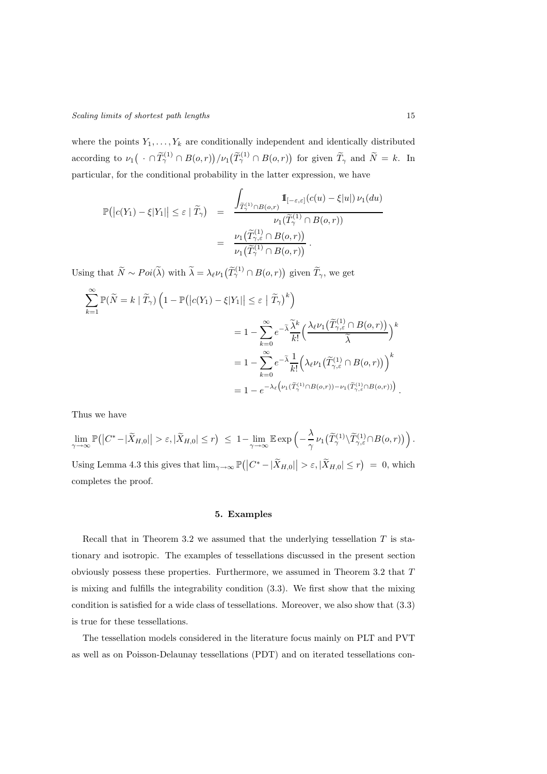where the points  $Y_1, \ldots, Y_k$  are conditionally independent and identically distributed according to  $\nu_1(\,\cdot\cap\widetilde{T}_{\gamma}^{(1)}\cap B(o,r))/\nu_1(\widetilde{T}_{\gamma}^{(1)}\cap B(o,r))$  for given  $\widetilde{T}_{\gamma}$  and  $\widetilde{N}=k$ . In particular, for the conditional probability in the latter expression, we have

$$
\mathbb{P}(|c(Y_1) - \xi|Y_1|) \leq \varepsilon \mid \widetilde{T}_{\gamma}) = \frac{\int_{\widetilde{T}_{\gamma}^{(1)} \cap B(o,r)} \mathbb{1}_{[-\varepsilon,\varepsilon]}(c(u) - \xi|u|) \nu_1(du)}{\nu_1(\widetilde{T}_{\gamma}^{(1)} \cap B(o,r))}
$$

$$
= \frac{\nu_1(\widetilde{T}_{\gamma,\varepsilon}^{(1)} \cap B(o,r))}{\nu_1(\widetilde{T}_{\gamma}^{(1)} \cap B(o,r))}.
$$

Using that  $\widetilde{N} \sim Poi(\widetilde{\lambda})$  with  $\widetilde{\lambda} = \lambda_{\ell} \nu_1(\widetilde{T}_{\gamma}^{(1)} \cap B(o, r))$  given  $\widetilde{T}_{\gamma}$ , we get

$$
\sum_{k=1}^{\infty} \mathbb{P}(\widetilde{N} = k | \widetilde{T}_{\gamma}) \left( 1 - \mathbb{P}(|c(Y_1) - \xi | Y_1|) \leq \varepsilon | \widetilde{T}_{\gamma})^k \right)
$$
  

$$
= 1 - \sum_{k=0}^{\infty} e^{-\widetilde{\lambda}} \frac{\widetilde{\lambda}^k}{k!} \left( \frac{\lambda_{\ell} \nu_1(\widetilde{T}_{\gamma,\varepsilon}^{(1)} \cap B(o,r))}{\widetilde{\lambda}} \right)^k
$$
  

$$
= 1 - \sum_{k=0}^{\infty} e^{-\widetilde{\lambda}} \frac{1}{k!} \left( \lambda_{\ell} \nu_1(\widetilde{T}_{\gamma,\varepsilon}^{(1)} \cap B(o,r)) \right)^k
$$
  

$$
= 1 - e^{-\lambda_{\ell} \left( \nu_1(\widetilde{T}_{\gamma}^{(1)} \cap B(o,r)) - \nu_1(\widetilde{T}_{\gamma,\varepsilon}^{(1)} \cap B(o,r)) \right)}
$$

Thus we have

$$
\lim_{\gamma \to \infty} \mathbb{P}(|C^* - |\widetilde{X}_{H,0}| > \varepsilon, |\widetilde{X}_{H,0}| \le r) \le 1 - \lim_{\gamma \to \infty} \mathbb{E} \exp\left(-\frac{\lambda}{\gamma} \nu_1(\widetilde{T}_{\gamma}^{(1)} \setminus \widetilde{T}_{\gamma,\varepsilon}^{(1)} \cap B(o,r))\right).
$$
  
Using Lemma 4.3 this gives that  $\lim_{\gamma \to \infty} \mathbb{P}(|C^* - |\widetilde{X}_{H,0}| > \varepsilon, |\widetilde{X}_{H,0}| \le r) = 0$ , which completes the proof.

## 5. Examples

Recall that in Theorem 3.2 we assumed that the underlying tessellation  $T$  is stationary and isotropic. The examples of tessellations discussed in the present section obviously possess these properties. Furthermore, we assumed in Theorem 3.2 that T is mixing and fulfills the integrability condition (3.3). We first show that the mixing condition is satisfied for a wide class of tessellations. Moreover, we also show that (3.3) is true for these tessellations.

The tessellation models considered in the literature focus mainly on PLT and PVT as well as on Poisson-Delaunay tessellations (PDT) and on iterated tessellations con-

.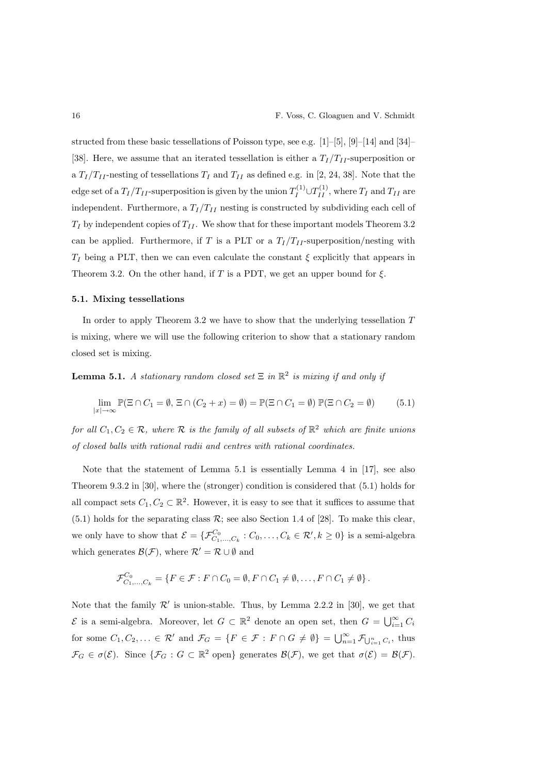structed from these basic tessellations of Poisson type, see e.g. [1]–[5], [9]–[14] and [34]– [38]. Here, we assume that an iterated tessellation is either a  $T_I/T_{II}$ -superposition or a  $T_I/T_{II}$ -nesting of tessellations  $T_I$  and  $T_{II}$  as defined e.g. in [2, 24, 38]. Note that the edge set of a  $T_I/T_{II}$ -superposition is given by the union  $T_I^{(1)} \cup T_{II}^{(1)}$ , where  $T_I$  and  $T_{II}$  are independent. Furthermore, a  $T_I/T_{II}$  nesting is constructed by subdividing each cell of  $T_I$  by independent copies of  $T_{II}$ . We show that for these important models Theorem 3.2 can be applied. Furthermore, if T is a PLT or a  $T_I/T_{II}$ -superposition/nesting with  $T_I$  being a PLT, then we can even calculate the constant  $\xi$  explicitly that appears in Theorem 3.2. On the other hand, if T is a PDT, we get an upper bound for  $\xi$ .

## 5.1. Mixing tessellations

In order to apply Theorem 3.2 we have to show that the underlying tessellation  $T$ is mixing, where we will use the following criterion to show that a stationary random closed set is mixing.

**Lemma 5.1.** *A stationary random closed set*  $\Xi$  *in*  $\mathbb{R}^2$  *is mixing if and only if* 

$$
\lim_{|x| \to \infty} \mathbb{P}(\Xi \cap C_1 = \emptyset, \Xi \cap (C_2 + x) = \emptyset) = \mathbb{P}(\Xi \cap C_1 = \emptyset) \mathbb{P}(\Xi \cap C_2 = \emptyset)
$$
(5.1)

*for all*  $C_1, C_2 \in \mathcal{R}$ , where  $\mathcal{R}$  *is the family of all subsets of*  $\mathbb{R}^2$  *which are finite unions of closed balls with rational radii and centres with rational coordinates.*

Note that the statement of Lemma 5.1 is essentially Lemma 4 in [17], see also Theorem 9.3.2 in [30], where the (stronger) condition is considered that (5.1) holds for all compact sets  $C_1, C_2 \subset \mathbb{R}^2$ . However, it is easy to see that it suffices to assume that  $(5.1)$  holds for the separating class  $\mathcal{R}$ ; see also Section 1.4 of [28]. To make this clear, we only have to show that  $\mathcal{E} = \{ \mathcal{F}_{C_1,...,C_k}^{C_0} : C_0,..., C_k \in \mathcal{R}', k \ge 0 \}$  is a semi-algebra which generates  $\mathcal{B}(\mathcal{F})$ , where  $\mathcal{R}' = \mathcal{R} \cup \emptyset$  and

$$
\mathcal{F}^{C_0}_{C_1,\ldots,C_k} = \{ F \in \mathcal{F} : F \cap C_0 = \emptyset, F \cap C_1 \neq \emptyset, \ldots, F \cap C_1 \neq \emptyset \}.
$$

Note that the family  $\mathcal{R}'$  is union-stable. Thus, by Lemma 2.2.2 in [30], we get that  $\mathcal E$  is a semi-algebra. Moreover, let  $G \subset \mathbb{R}^2$  denote an open set, then  $G = \bigcup_{i=1}^{\infty} C_i$ for some  $C_1, C_2, \ldots \in \mathcal{R}'$  and  $\mathcal{F}_G = \{F \in \mathcal{F} : F \cap G \neq \emptyset\} = \bigcup_{n=1}^{\infty} \mathcal{F}_{\bigcup_{i=1}^n C_i}$ , thus  $\mathcal{F}_G \in \sigma(\mathcal{E})$ . Since  $\{\mathcal{F}_G : G \subset \mathbb{R}^2 \text{ open}\}\$  generates  $\mathcal{B}(\mathcal{F})$ , we get that  $\sigma(\mathcal{E}) = \mathcal{B}(\mathcal{F})$ .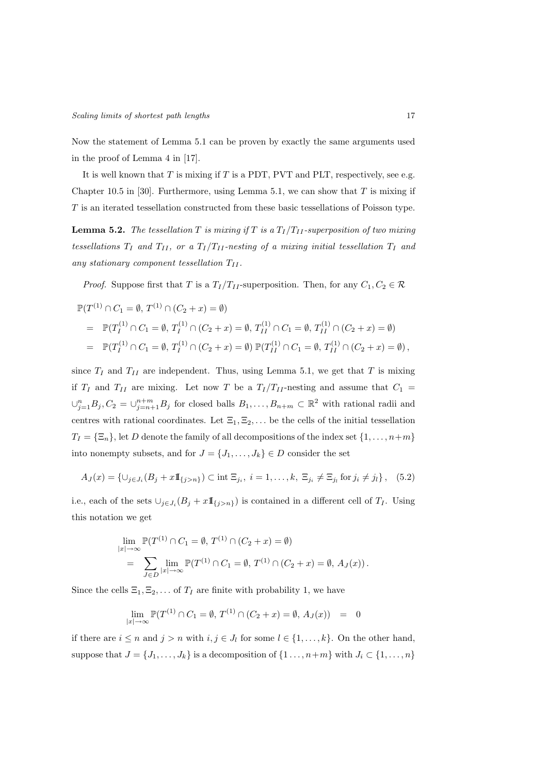Now the statement of Lemma 5.1 can be proven by exactly the same arguments used in the proof of Lemma 4 in [17].

It is well known that  $T$  is mixing if  $T$  is a PDT, PVT and PLT, respectively, see e.g. Chapter 10.5 in [30]. Furthermore, using Lemma 5.1, we can show that  $T$  is mixing if T is an iterated tessellation constructed from these basic tessellations of Poisson type.

**Lemma 5.2.** *The tessellation*  $T$  *is mixing if*  $T$  *is a*  $T_I/T_{II}$ -superposition of two mixing *tessellations*  $T_I$  *and*  $T_{II}$ *, or a*  $T_I/T_{II}$ *-nesting of a mixing initial tessellation*  $T_I$  *and* any stationary component tessellation  $T_{II}$ .

*Proof.* Suppose first that T is a  $T_I/T_{II}$ -superposition. Then, for any  $C_1, C_2 \in \mathcal{R}$ 

$$
\mathbb{P}(T^{(1)} \cap C_1 = \emptyset, T^{(1)} \cap (C_2 + x) = \emptyset)
$$
  
= 
$$
\mathbb{P}(T_I^{(1)} \cap C_1 = \emptyset, T_I^{(1)} \cap (C_2 + x) = \emptyset, T_{II}^{(1)} \cap C_1 = \emptyset, T_{II}^{(1)} \cap (C_2 + x) = \emptyset)
$$
  
= 
$$
\mathbb{P}(T_I^{(1)} \cap C_1 = \emptyset, T_I^{(1)} \cap (C_2 + x) = \emptyset) \mathbb{P}(T_{II}^{(1)} \cap C_1 = \emptyset, T_{II}^{(1)} \cap (C_2 + x) = \emptyset),
$$

since  $T_I$  and  $T_{II}$  are independent. Thus, using Lemma 5.1, we get that T is mixing if  $T_I$  and  $T_{II}$  are mixing. Let now T be a  $T_I/T_{II}$ -nesting and assume that  $C_1$  =  $\cup_{j=1}^n B_j, C_2 = \cup_{j=n+1}^{n+m} B_j$  for closed balls  $B_1, \ldots, B_{n+m} \subset \mathbb{R}^2$  with rational radii and centres with rational coordinates. Let  $\Xi_1, \Xi_2, \ldots$  be the cells of the initial tessellation  $T_I = {\Xi_n}$ , let D denote the family of all decompositions of the index set  $\{1, \ldots, n+m\}$ into nonempty subsets, and for  $J = \{J_1, \ldots, J_k\} \in D$  consider the set

$$
A_J(x) = \{ \cup_{j \in J_i} (B_j + x \mathbb{I}_{\{j > n\}}) \subset \text{int } \Xi_{j_i}, \ i = 1, \dots, k, \ \Xi_{j_i} \neq \Xi_{j_i} \text{ for } j_i \neq j_i \}, \tag{5.2}
$$

i.e., each of the sets  $\cup_{j\in J_i}(B_j+x\mathbb{1}_{\{j>n\}})$  is contained in a different cell of  $T_I$ . Using this notation we get

$$
\lim_{|x| \to \infty} \mathbb{P}(T^{(1)} \cap C_1 = \emptyset, T^{(1)} \cap (C_2 + x) = \emptyset)
$$
  
= 
$$
\sum_{J \in D} \lim_{|x| \to \infty} \mathbb{P}(T^{(1)} \cap C_1 = \emptyset, T^{(1)} \cap (C_2 + x) = \emptyset, A_J(x)).
$$

Since the cells  $\Xi_1, \Xi_2, \ldots$  of  $T_I$  are finite with probability 1, we have

$$
\lim_{|x| \to \infty} \mathbb{P}(T^{(1)} \cap C_1 = \emptyset, T^{(1)} \cap (C_2 + x) = \emptyset, A_J(x)) = 0
$$

if there are  $i \leq n$  and  $j > n$  with  $i, j \in J_l$  for some  $l \in \{1, ..., k\}$ . On the other hand, suppose that  $J = \{J_1, \ldots, J_k\}$  is a decomposition of  $\{1 \ldots, n+m\}$  with  $J_i \subset \{1, \ldots, n\}$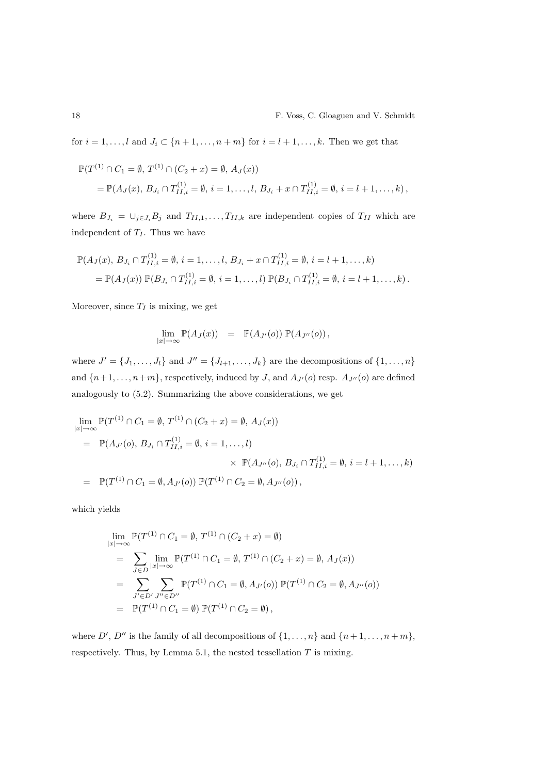for  $i = 1, \ldots, l$  and  $J_i \subset \{n+1, \ldots, n+m\}$  for  $i = l+1, \ldots, k$ . Then we get that

$$
\mathbb{P}(T^{(1)} \cap C_1 = \emptyset, T^{(1)} \cap (C_2 + x) = \emptyset, A_J(x))
$$
  
=  $\mathbb{P}(A_J(x), B_{J_i} \cap T^{(1)}_{I1,i} = \emptyset, i = 1, ..., l, B_{J_i} + x \cap T^{(1)}_{I1,i} = \emptyset, i = l + 1, ..., k),$ 

where  $B_{J_i} = \bigcup_{j \in J_i} B_j$  and  $T_{II,1}, \ldots, T_{II,k}$  are independent copies of  $T_{II}$  which are independent of  $T_I$ . Thus we have

$$
\mathbb{P}(A_J(x), B_{J_i} \cap T_{II,i}^{(1)} = \emptyset, i = 1, ..., l, B_{J_i} + x \cap T_{II,i}^{(1)} = \emptyset, i = l + 1, ..., k)
$$
  
= 
$$
\mathbb{P}(A_J(x)) \mathbb{P}(B_{J_i} \cap T_{II,i}^{(1)} = \emptyset, i = 1, ..., l) \mathbb{P}(B_{J_i} \cap T_{II,i}^{(1)} = \emptyset, i = l + 1, ..., k).
$$

Moreover, since  $T_I$  is mixing, we get

$$
\lim_{|x|\to\infty} \mathbb{P}(A_J(x)) = \mathbb{P}(A_{J'}(o)) \mathbb{P}(A_{J''}(o)),
$$

where  $J' = \{J_1, \ldots, J_l\}$  and  $J'' = \{J_{l+1}, \ldots, J_k\}$  are the decompositions of  $\{1, \ldots, n\}$ and  $\{n+1,\ldots,n+m\}$ , respectively, induced by J, and  $A_{J'}(o)$  resp.  $A_{J''}(o)$  are defined analogously to (5.2). Summarizing the above considerations, we get

$$
\lim_{|x| \to \infty} \mathbb{P}(T^{(1)} \cap C_1 = \emptyset, T^{(1)} \cap (C_2 + x) = \emptyset, A_J(x))
$$
\n
$$
= \mathbb{P}(A_{J'}(o), B_{J_i} \cap T^{(1)}_{II,i} = \emptyset, i = 1, ..., l)
$$
\n
$$
\times \mathbb{P}(A_{J''}(o), B_{J_i} \cap T^{(1)}_{II,i} = \emptyset, i = l + 1, ..., k)
$$
\n
$$
= \mathbb{P}(T^{(1)} \cap C_1 = \emptyset, A_{J'}(o)) \mathbb{P}(T^{(1)} \cap C_2 = \emptyset, A_{J''}(o)),
$$

which yields

$$
\lim_{|x| \to \infty} \mathbb{P}(T^{(1)} \cap C_1 = \emptyset, T^{(1)} \cap (C_2 + x) = \emptyset)
$$
\n
$$
= \sum_{J \in D} \lim_{|x| \to \infty} \mathbb{P}(T^{(1)} \cap C_1 = \emptyset, T^{(1)} \cap (C_2 + x) = \emptyset, A_J(x))
$$
\n
$$
= \sum_{J' \in D'} \sum_{J'' \in D''} \mathbb{P}(T^{(1)} \cap C_1 = \emptyset, A_{J'}(o)) \mathbb{P}(T^{(1)} \cap C_2 = \emptyset, A_{J''}(o))
$$
\n
$$
= \mathbb{P}(T^{(1)} \cap C_1 = \emptyset) \mathbb{P}(T^{(1)} \cap C_2 = \emptyset),
$$

where  $D', D''$  is the family of all decompositions of  $\{1, \ldots, n\}$  and  $\{n+1, \ldots, n+m\}$ , respectively. Thus, by Lemma 5.1, the nested tessellation  $T$  is mixing.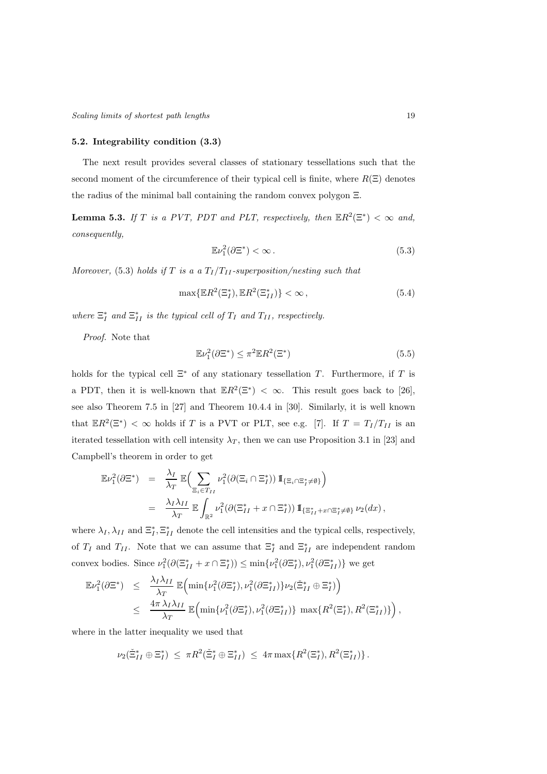## 5.2. Integrability condition (3.3)

The next result provides several classes of stationary tessellations such that the second moment of the circumference of their typical cell is finite, where  $R(\Xi)$  denotes the radius of the minimal ball containing the random convex polygon Ξ.

**Lemma 5.3.** *If*  $T$  *is a PVT, PDT and PLT, respectively, then*  $\mathbb{E}R^2(\Xi^*) < \infty$  *and, consequently,*

$$
\mathbb{E}\nu_1^2(\partial\Xi^*) < \infty\,. \tag{5.3}
$$

*Moreover,* (5.3) *holds if* T *is a a*  $T_I/T_{II}$ -superposition/nesting such that

$$
\max\{\mathbb{E}R^2(\Xi_I^*), \mathbb{E}R^2(\Xi_{II}^*)\} < \infty,\tag{5.4}
$$

where  $\Xi_I^*$  and  $\Xi_{II}^*$  is the typical cell of  $T_I$  and  $T_{II}$ , respectively.

*Proof.* Note that

$$
\mathbb{E}\nu_1^2(\partial\Xi^*) \le \pi^2 \mathbb{E}R^2(\Xi^*)\tag{5.5}
$$

holds for the typical cell  $\Xi^*$  of any stationary tessellation T. Furthermore, if T is a PDT, then it is well-known that  $\mathbb{E}R^2(\Xi^*) < \infty$ . This result goes back to [26], see also Theorem 7.5 in [27] and Theorem 10.4.4 in [30]. Similarly, it is well known that  $\mathbb{E}R^2(\Xi^*) < \infty$  holds if T is a PVT or PLT, see e.g. [7]. If  $T = T_I/T_{II}$  is an iterated tessellation with cell intensity  $\lambda_T$ , then we can use Proposition 3.1 in [23] and Campbell's theorem in order to get

$$
\mathbb{E}\nu_1^2(\partial\Xi^*) = \frac{\lambda_I}{\lambda_T} \mathbb{E}\Big(\sum_{\Xi_i \in T_{II}} \nu_1^2(\partial(\Xi_i \cap \Xi_I^*)) \mathbb{1}_{\{\Xi_i \cap \Xi_I^* \neq \emptyset\}}\Big) \n= \frac{\lambda_I \lambda_{II}}{\lambda_T} \mathbb{E}\int_{\mathbb{R}^2} \nu_1^2(\partial(\Xi_{II}^* + x \cap \Xi_I^*)) \mathbb{1}_{\{\Xi_{II}^* + x \cap \Xi_I^* \neq \emptyset\}} \nu_2(dx),
$$

where  $\lambda_I, \lambda_{II}$  and  $\Xi_I^*, \Xi_{II}^*$  denote the cell intensities and the typical cells, respectively, of  $T_I$  and  $T_{II}$ . Note that we can assume that  $\Xi_I^*$  and  $\Xi_{II}^*$  are independent random convex bodies. Since  $\nu_1^2(\partial(\Xi_{II}^* + x \cap \Xi_I^*)) \le \min\{\nu_1^2(\partial \Xi_I^*), \nu_1^2(\partial \Xi_{II}^*)\}$  we get

$$
\mathbb{E}\nu_1^2(\partial\Xi^*) \leq \frac{\lambda_I \lambda_{II}}{\lambda_T} \mathbb{E}\Big(\min\{\nu_1^2(\partial\Xi_I^*), \nu_1^2(\partial\Xi_{II}^*)\} \nu_2(\tilde{\Xi}_{II}^* \oplus \Xi_I^*)\Big) \leq \frac{4\pi \lambda_I \lambda_{II}}{\lambda_T} \mathbb{E}\Big(\min\{\nu_1^2(\partial\Xi_I^*), \nu_1^2(\partial\Xi_{II}^*)\}\max\{R^2(\Xi_I^*), R^2(\Xi_{II}^*)\}\Big),
$$

where in the latter inequality we used that

$$
\nu_2(\tilde{\Xi}_{II}^* \oplus \Xi_I^*) \leq \pi R^2(\tilde{\Xi}_I^* \oplus \Xi_{II}^*) \leq 4\pi \max \{R^2(\Xi_I^*), R^2(\Xi_{II}^*)\}.
$$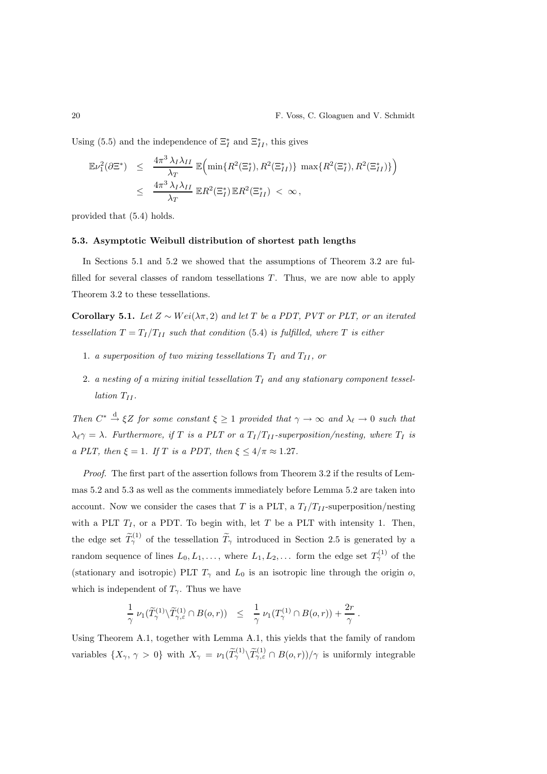Using (5.5) and the independence of  $\Xi_I^*$  and  $\Xi_{II}^*$ , this gives

$$
\mathbb{E}\nu_1^2(\partial\Xi^*) \leq \frac{4\pi^3\,\lambda_I\lambda_{II}}{\lambda_T} \mathbb{E}\Big(\min\{R^2(\Xi_I^*), R^2(\Xi_{II}^*)\}\,\max\{R^2(\Xi_I^*), R^2(\Xi_{II}^*)\}\Big) \leq \frac{4\pi^3\,\lambda_I\lambda_{II}}{\lambda_T} \mathbb{E}R^2(\Xi_I^*) \mathbb{E}R^2(\Xi_{II}^*) < \infty,
$$

provided that (5.4) holds.

## 5.3. Asymptotic Weibull distribution of shortest path lengths

In Sections 5.1 and 5.2 we showed that the assumptions of Theorem 3.2 are fulfilled for several classes of random tessellations  $T$ . Thus, we are now able to apply Theorem 3.2 to these tessellations.

Corollary 5.1. *Let*  $Z ∼ Wei(λπ, 2)$  *and let*  $T$  *be a PDT, PVT or PLT, or an iterated tessellation*  $T = T_I/T_{II}$  *such that condition* (5.4) *is fulfilled, where*  $T$  *is either* 

- 1. *a superposition of two mixing tessellations*  $T_I$  *and*  $T_{II}$ *, or*
- 2. *a nesting of a mixing initial tessellation*  $T_I$  *and any stationary component tessellation*  $T_{II}$ *.*

*Then*  $C^* \xrightarrow{d} \xi Z$  *for some constant*  $\xi \geq 1$  *provided that*  $\gamma \to \infty$  *and*  $\lambda_{\ell} \to 0$  *such that*  $\lambda_{\ell} \gamma = \lambda$ . Furthermore, if T is a PLT or a  $T_I/T_{II}$ -superposition/nesting, where  $T_I$  is *a PLT, then*  $\xi = 1$ *. If T is a PDT, then*  $\xi \le 4/\pi \approx 1.27$ *.* 

*Proof.* The first part of the assertion follows from Theorem 3.2 if the results of Lemmas 5.2 and 5.3 as well as the comments immediately before Lemma 5.2 are taken into account. Now we consider the cases that T is a PLT, a  $T_I/T_{II}$ -superposition/nesting with a PLT  $T_I$ , or a PDT. To begin with, let T be a PLT with intensity 1. Then, the edge set  $\widetilde{T}_{\gamma}^{(1)}$  of the tessellation  $\widetilde{T}_{\gamma}$  introduced in Section 2.5 is generated by a random sequence of lines  $L_0, L_1, \ldots$ , where  $L_1, L_2, \ldots$  form the edge set  $T_\gamma^{(1)}$  of the (stationary and isotropic) PLT  $T_{\gamma}$  and  $L_0$  is an isotropic line through the origin o, which is independent of  $T_{\gamma}$ . Thus we have

$$
\frac{1}{\gamma} \; \nu_1(\widetilde{T}_{\gamma}^{(1)} \backslash \widetilde{T}_{\gamma,\varepsilon}^{(1)} \cap B(o,r)) \;\; \leq \;\; \frac{1}{\gamma} \; \nu_1(T_{\gamma}^{(1)} \cap B(o,r)) + \frac{2r}{\gamma} \; .
$$

Using Theorem A.1, together with Lemma A.1, this yields that the family of random variables  $\{X_\gamma, \gamma > 0\}$  with  $X_\gamma = \nu_1(\widetilde{T}_{\gamma}^{(1)} \setminus \widetilde{T}_{\gamma,\varepsilon}^{(1)} \cap B(o,r))/\gamma$  is uniformly integrable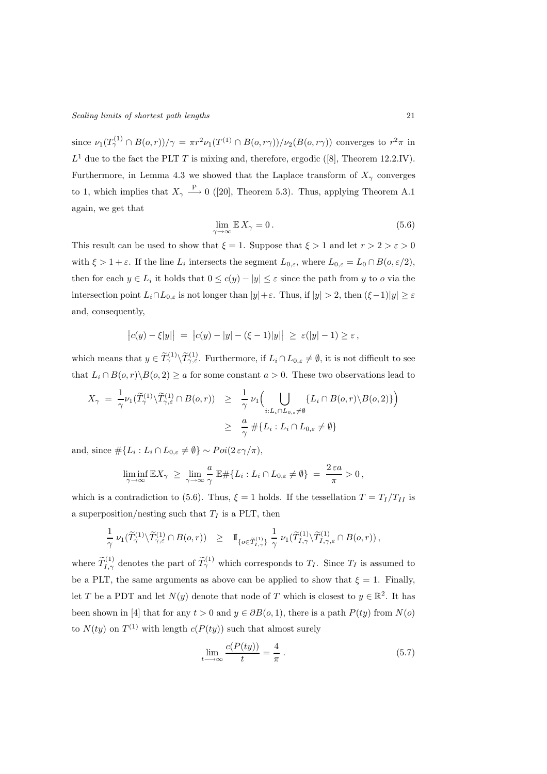since  $\nu_1(T^{(1)}_2 \cap B(o,r))/\gamma = \pi r^2 \nu_1(T^{(1)} \cap B(o,r\gamma))/\nu_2(B(o,r\gamma))$  converges to  $r^2\pi$  in  $L^1$  due to the fact the PLT T is mixing and, therefore, ergodic ([8], Theorem 12.2.IV). Furthermore, in Lemma 4.3 we showed that the Laplace transform of  $X_{\gamma}$  converges to 1, which implies that  $X_{\gamma} \longrightarrow 0$  ([20], Theorem 5.3). Thus, applying Theorem A.1 again, we get that

$$
\lim_{\gamma \to \infty} \mathbb{E} X_{\gamma} = 0. \tag{5.6}
$$

This result can be used to show that  $\xi = 1$ . Suppose that  $\xi > 1$  and let  $r > 2 > \varepsilon > 0$ with  $\xi > 1 + \varepsilon$ . If the line  $L_i$  intersects the segment  $L_{0,\varepsilon}$ , where  $L_{0,\varepsilon} = L_0 \cap B(o,\varepsilon/2)$ , then for each  $y \in L_i$  it holds that  $0 \le c(y) - |y| \le \varepsilon$  since the path from y to o via the intersection point  $L_i \cap L_{0,\varepsilon}$  is not longer than  $|y| + \varepsilon$ . Thus, if  $|y| > 2$ , then  $(\xi - 1)|y| \ge \varepsilon$ and, consequently,

$$
|c(y) - \xi|y|| = |c(y) - |y| - (\xi - 1)|y|| \ge \varepsilon(|y| - 1) \ge \varepsilon
$$
,

which means that  $y \in \widetilde{T}_{\gamma}^{(1)} \setminus \widetilde{T}_{\gamma,\varepsilon}^{(1)}$ . Furthermore, if  $L_i \cap L_{0,\varepsilon} \neq \emptyset$ , it is not difficult to see that  $L_i \cap B(o, r) \backslash B(o, 2) \ge a$  for some constant  $a > 0$ . These two observations lead to

$$
X_{\gamma} = \frac{1}{\gamma} \nu_1(\widetilde{T}_{\gamma}^{(1)} \setminus \widetilde{T}_{\gamma,\varepsilon}^{(1)} \cap B(o,r)) \geq \frac{1}{\gamma} \nu_1 \Big( \bigcup_{i:L_i \cap L_{0,\varepsilon} \neq \emptyset} \{L_i \cap B(o,r) \setminus B(o,2)\} \Big)
$$
  

$$
\geq \frac{a}{\gamma} \# \{L_i : L_i \cap L_{0,\varepsilon} \neq \emptyset \}
$$

and, since  $\#\{L_i: L_i \cap L_{0,\varepsilon} \neq \emptyset\} \sim Poi(2\,\varepsilon\gamma/\pi),$ 

$$
\liminf_{\gamma \to \infty} \mathbb{E} X_{\gamma} \ \geq \ \lim_{\gamma \to \infty} \frac{a}{\gamma} \ \mathbb{E} \# \{ L_i : L_i \cap L_{0,\varepsilon} \neq \emptyset \} \ = \ \frac{2 \, \varepsilon a}{\pi} > 0 \, ,
$$

which is a contradiction to (5.6). Thus,  $\xi = 1$  holds. If the tessellation  $T = T_I/T_{II}$  is a superposition/nesting such that  $T_I$  is a PLT, then

$$
\frac{1}{\gamma}\,\,\nu_1(\widetilde T_{\gamma}^{(1)}\backslash\widetilde T_{\gamma,\varepsilon}^{(1)}\cap B(o,r))\quad \geq \quad \mathrm{I\!I}_{\{\boldsymbol{o}\in \widetilde T_{I,\gamma}^{(1)}\}}\,\,\frac{1}{\gamma}\,\,\nu_1(\widetilde T_{I,\gamma}^{(1)}\backslash\widetilde T_{I,\gamma,\varepsilon}^{(1)}\cap B(o,r))\,,
$$

where  $\widetilde{T}_{I,\gamma}^{(1)}$  denotes the part of  $\widetilde{T}_{\gamma}^{(1)}$  which corresponds to  $T_I$ . Since  $T_I$  is assumed to be a PLT, the same arguments as above can be applied to show that  $\xi = 1$ . Finally, let T be a PDT and let  $N(y)$  denote that node of T which is closest to  $y \in \mathbb{R}^2$ . It has been shown in [4] that for any  $t > 0$  and  $y \in \partial B(0,1)$ , there is a path  $P(ty)$  from  $N(o)$ to  $N(ty)$  on  $T^{(1)}$  with length  $c(P(ty))$  such that almost surely

$$
\lim_{t \to \infty} \frac{c(P(ty))}{t} = \frac{4}{\pi} \,. \tag{5.7}
$$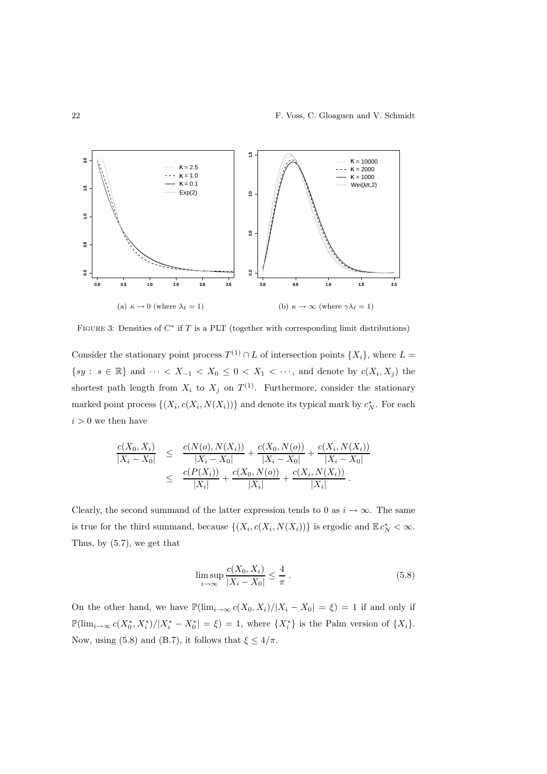

FIGURE 3: Densities of  $C^*$  if T is a PLT (together with corresponding limit distributions)

Consider the stationary point process  $T^{(1)} \cap L$  of intersection points  $\{X_i\}$ , where  $L =$  $\{sy : s \in \mathbb{R}\}\$  and  $\cdots < X_{-1} < X_0 \leq 0 < X_1 < \cdots$ , and denote by  $c(X_i, X_j)$  the shortest path length from  $X_i$  to  $X_j$  on  $T^{(1)}$ . Furthermore, consider the stationary marked point process  $\{(X_i, c(X_i, N(X_i))\})$  and denote its typical mark by  $c_N^*$ . For each  $i > 0$  we then have

$$
\frac{c(X_0, X_i)}{|X_i - X_0|} \leq \frac{c(N(o), N(X_i))}{|X_i - X_0|} + \frac{c(X_0, N(o))}{|X_i - X_0|} + \frac{c(X_i, N(X_i))}{|X_i - X_0|} \n\leq \frac{c(P(X_i))}{|X_i|} + \frac{c(X_0, N(o))}{|X_i|} + \frac{c(X_i, N(X_i))}{|X_i|}.
$$

Clearly, the second summand of the latter expression tends to 0 as  $i \to \infty$ . The same is true for the third summand, because  $\{(X_i, c(X_i, N(X_i))\})$  is ergodic and  $\mathbb{E} c_N^* < \infty$ . Thus, by (5.7), we get that

$$
\limsup_{i \to \infty} \frac{c(X_0, X_i)}{|X_i - X_0|} \le \frac{4}{\pi} \,. \tag{5.8}
$$

On the other hand, we have  $\mathbb{P}(\lim_{i\to\infty}c(X_0,X_i)/|X_i-X_0|=\xi)=1$  if and only if  $\mathbb{P}(\lim_{i\to\infty} c(X_0^*, X_i^*)/|X_i^*-X_0^*|=\xi)=1$ , where  $\{X_i^*\}$  is the Palm version of  $\{X_i\}$ . Now, using (5.8) and (B.7), it follows that  $\xi \le 4/\pi$ .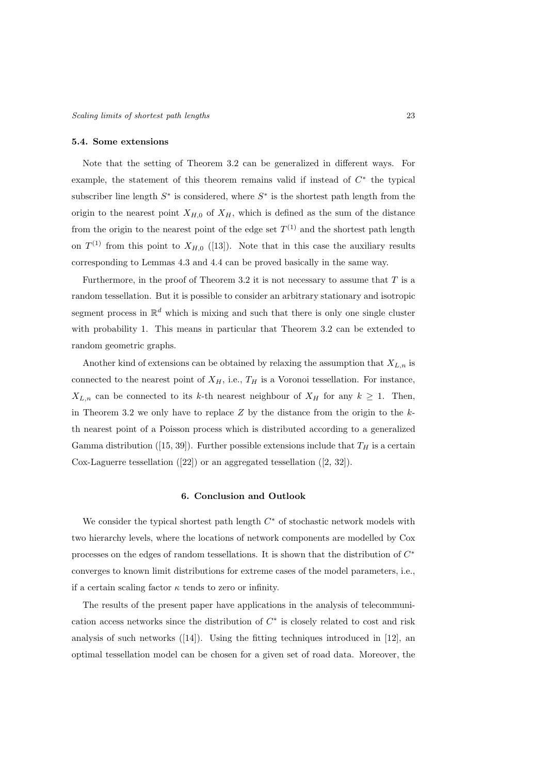#### 5.4. Some extensions

Note that the setting of Theorem 3.2 can be generalized in different ways. For example, the statement of this theorem remains valid if instead of  $C^*$  the typical subscriber line length  $S^*$  is considered, where  $S^*$  is the shortest path length from the origin to the nearest point  $X_{H,0}$  of  $X_H$ , which is defined as the sum of the distance from the origin to the nearest point of the edge set  $T^{(1)}$  and the shortest path length on  $T^{(1)}$  from this point to  $X_{H,0}$  ([13]). Note that in this case the auxiliary results corresponding to Lemmas 4.3 and 4.4 can be proved basically in the same way.

Furthermore, in the proof of Theorem 3.2 it is not necessary to assume that  $T$  is a random tessellation. But it is possible to consider an arbitrary stationary and isotropic segment process in  $\mathbb{R}^d$  which is mixing and such that there is only one single cluster with probability 1. This means in particular that Theorem 3.2 can be extended to random geometric graphs.

Another kind of extensions can be obtained by relaxing the assumption that  $X_{L,n}$  is connected to the nearest point of  $X_H$ , i.e.,  $T_H$  is a Voronoi tessellation. For instance,  $X_{L,n}$  can be connected to its k-th nearest neighbour of  $X_H$  for any  $k \geq 1$ . Then, in Theorem 3.2 we only have to replace  $Z$  by the distance from the origin to the  $k$ th nearest point of a Poisson process which is distributed according to a generalized Gamma distribution ([15, 39]). Further possible extensions include that  $T_H$  is a certain Cox-Laguerre tessellation ([22]) or an aggregated tessellation ([2, 32]).

## 6. Conclusion and Outlook

We consider the typical shortest path length  $C^*$  of stochastic network models with two hierarchy levels, where the locations of network components are modelled by Cox processes on the edges of random tessellations. It is shown that the distribution of  $C^*$ converges to known limit distributions for extreme cases of the model parameters, i.e., if a certain scaling factor  $\kappa$  tends to zero or infinity.

The results of the present paper have applications in the analysis of telecommunication access networks since the distribution of  $C^*$  is closely related to cost and risk analysis of such networks ([14]). Using the fitting techniques introduced in [12], an optimal tessellation model can be chosen for a given set of road data. Moreover, the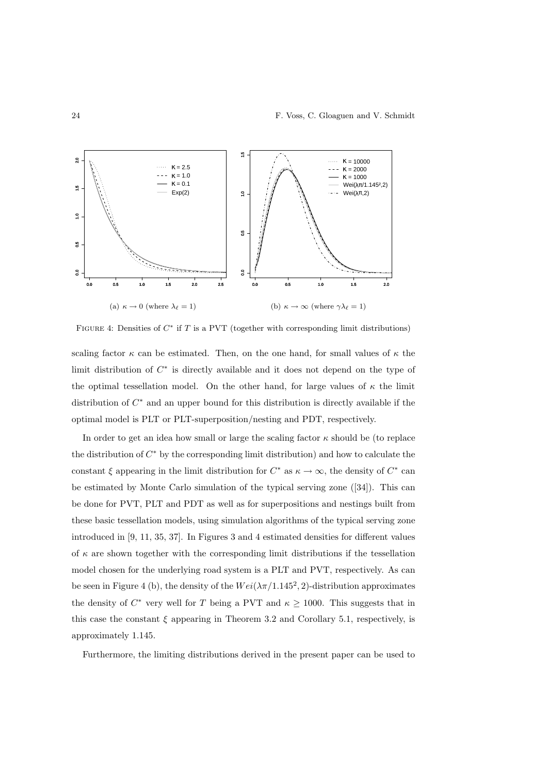

FIGURE 4: Densities of  $C^*$  if T is a PVT (together with corresponding limit distributions)

scaling factor  $\kappa$  can be estimated. Then, on the one hand, for small values of  $\kappa$  the limit distribution of  $C^*$  is directly available and it does not depend on the type of the optimal tessellation model. On the other hand, for large values of  $\kappa$  the limit distribution of  $C^*$  and an upper bound for this distribution is directly available if the optimal model is PLT or PLT-superposition/nesting and PDT, respectively.

In order to get an idea how small or large the scaling factor  $\kappa$  should be (to replace the distribution of  $C^*$  by the corresponding limit distribution) and how to calculate the constant  $\xi$  appearing in the limit distribution for  $C^*$  as  $\kappa \to \infty$ , the density of  $C^*$  can be estimated by Monte Carlo simulation of the typical serving zone ([34]). This can be done for PVT, PLT and PDT as well as for superpositions and nestings built from these basic tessellation models, using simulation algorithms of the typical serving zone introduced in [9, 11, 35, 37]. In Figures 3 and 4 estimated densities for different values of  $\kappa$  are shown together with the corresponding limit distributions if the tessellation model chosen for the underlying road system is a PLT and PVT, respectively. As can be seen in Figure 4 (b), the density of the  $Wei(\lambda \pi/1.145^2, 2)$ -distribution approximates the density of  $C^*$  very well for T being a PVT and  $\kappa \geq 1000$ . This suggests that in this case the constant  $\xi$  appearing in Theorem 3.2 and Corollary 5.1, respectively, is approximately 1.145.

Furthermore, the limiting distributions derived in the present paper can be used to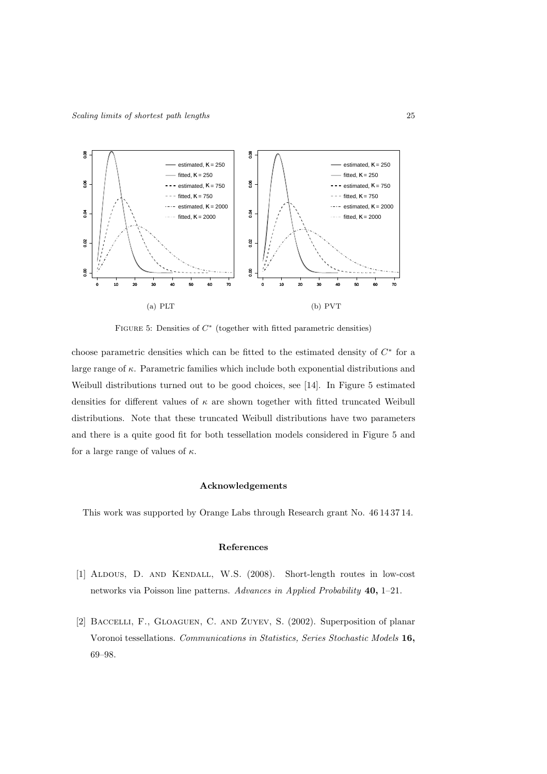

FIGURE 5: Densities of  $C^*$  (together with fitted parametric densities)

choose parametric densities which can be fitted to the estimated density of  $C^*$  for a large range of  $\kappa$ . Parametric families which include both exponential distributions and Weibull distributions turned out to be good choices, see [14]. In Figure 5 estimated densities for different values of  $\kappa$  are shown together with fitted truncated Weibull distributions. Note that these truncated Weibull distributions have two parameters and there is a quite good fit for both tessellation models considered in Figure 5 and for a large range of values of  $\kappa$ .

## Acknowledgements

This work was supported by Orange Labs through Research grant No. 46 14 37 14.

# References

- [1] Aldous, D. and Kendall, W.S. (2008). Short-length routes in low-cost networks via Poisson line patterns. *Advances in Applied Probability* 40, 1–21.
- [2] Baccelli, F., Gloaguen, C. and Zuyev, S. (2002). Superposition of planar Voronoi tessellations. *Communications in Statistics, Series Stochastic Models* 16, 69–98.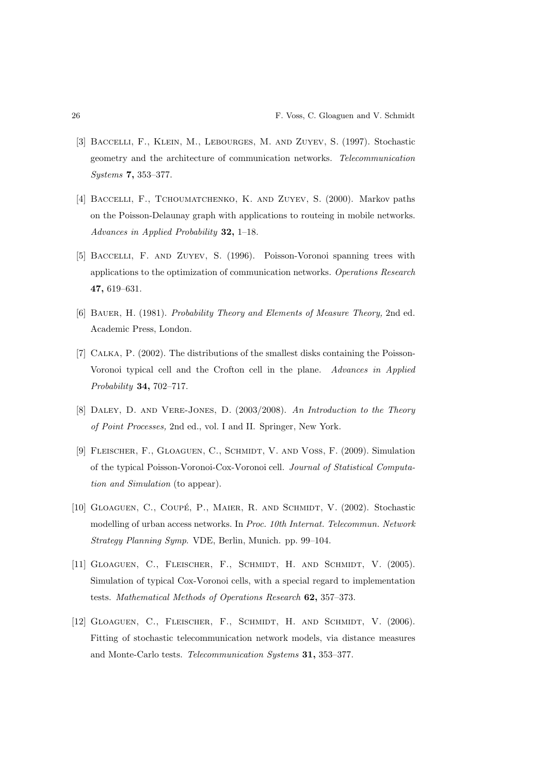- [3] Baccelli, F., Klein, M., Lebourges, M. and Zuyev, S. (1997). Stochastic geometry and the architecture of communication networks. *Telecommunication Systems* 7, 353–377.
- [4] Baccelli, F., Tchoumatchenko, K. and Zuyev, S. (2000). Markov paths on the Poisson-Delaunay graph with applications to routeing in mobile networks. *Advances in Applied Probability* 32, 1–18.
- [5] Baccelli, F. and Zuyev, S. (1996). Poisson-Voronoi spanning trees with applications to the optimization of communication networks. *Operations Research* 47, 619–631.
- [6] Bauer, H. (1981). *Probability Theory and Elements of Measure Theory,* 2nd ed. Academic Press, London.
- [7] Calka, P. (2002). The distributions of the smallest disks containing the Poisson-Voronoi typical cell and the Crofton cell in the plane. *Advances in Applied Probability* 34, 702–717.
- [8] Daley, D. and Vere-Jones, D. (2003/2008). *An Introduction to the Theory of Point Processes,* 2nd ed., vol. I and II. Springer, New York.
- [9] FLEISCHER, F., GLOAGUEN, C., SCHMIDT, V. AND VOSS, F. (2009). Simulation of the typical Poisson-Voronoi-Cox-Voronoi cell. *Journal of Statistical Computation and Simulation* (to appear).
- [10] GLOAGUEN, C., COUPÉ, P., MAIER, R. AND SCHMIDT, V. (2002). Stochastic modelling of urban access networks. In *Proc. 10th Internat. Telecommun. Network Strategy Planning Symp*. VDE, Berlin, Munich. pp. 99–104.
- [11] Gloaguen, C., Fleischer, F., Schmidt, H. and Schmidt, V. (2005). Simulation of typical Cox-Voronoi cells, with a special regard to implementation tests. *Mathematical Methods of Operations Research* 62, 357–373.
- [12] Gloaguen, C., Fleischer, F., Schmidt, H. and Schmidt, V. (2006). Fitting of stochastic telecommunication network models, via distance measures and Monte-Carlo tests. *Telecommunication Systems* 31, 353–377.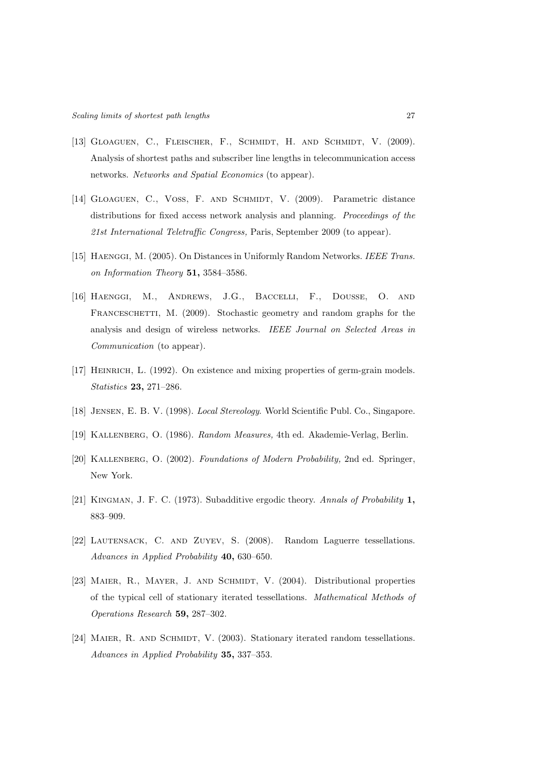- [13] Gloaguen, C., Fleischer, F., Schmidt, H. and Schmidt, V. (2009). Analysis of shortest paths and subscriber line lengths in telecommunication access networks. *Networks and Spatial Economics* (to appear).
- [14] GLOAGUEN, C., VOSS, F. AND SCHMIDT, V. (2009). Parametric distance distributions for fixed access network analysis and planning. *Proceedings of the 21st International Teletraffic Congress,* Paris, September 2009 (to appear).
- [15] Haenggi, M. (2005). On Distances in Uniformly Random Networks. *IEEE Trans. on Information Theory* 51, 3584–3586.
- [16] Haenggi, M., Andrews, J.G., Baccelli, F., Dousse, O. and FRANCESCHETTI, M. (2009). Stochastic geometry and random graphs for the analysis and design of wireless networks. *IEEE Journal on Selected Areas in Communication* (to appear).
- [17] Heinrich, L. (1992). On existence and mixing properties of germ-grain models. *Statistics* 23, 271–286.
- [18] Jensen, E. B. V. (1998). *Local Stereology*. World Scientific Publ. Co., Singapore.
- [19] Kallenberg, O. (1986). *Random Measures,* 4th ed. Akademie-Verlag, Berlin.
- [20] Kallenberg, O. (2002). *Foundations of Modern Probability,* 2nd ed. Springer, New York.
- [21] Kingman, J. F. C. (1973). Subadditive ergodic theory. *Annals of Probability* 1, 883–909.
- [22] Lautensack, C. and Zuyev, S. (2008). Random Laguerre tessellations. *Advances in Applied Probability* 40, 630–650.
- [23] MAIER, R., MAYER, J. AND SCHMIDT, V. (2004). Distributional properties of the typical cell of stationary iterated tessellations. *Mathematical Methods of Operations Research* 59, 287–302.
- [24] MAIER, R. AND SCHMIDT, V. (2003). Stationary iterated random tessellations. *Advances in Applied Probability* 35, 337–353.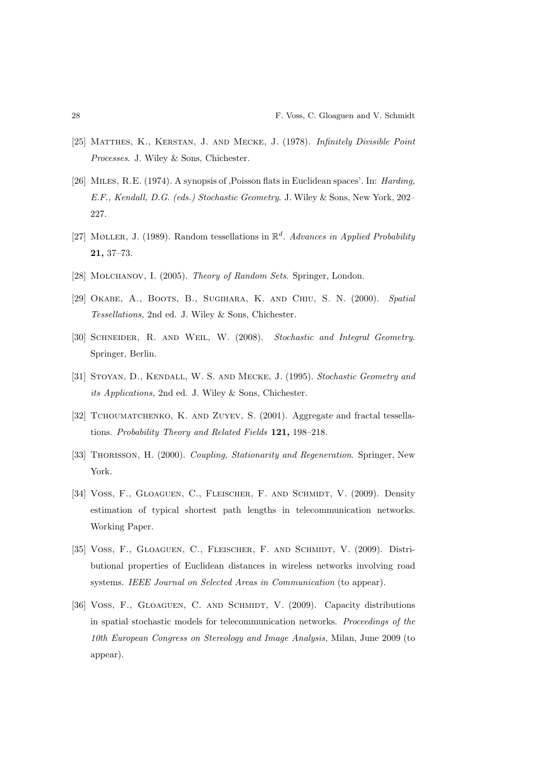- [25] Matthes, K., Kerstan, J. and Mecke, J. (1978). *Infinitely Divisible Point Processes*. J. Wiley & Sons, Chichester.
- [26] Miles, R.E. (1974). A synopsis of ,Poisson flats in Euclidean spaces'. In: *Harding, E.F., Kendall, D.G. (eds.) Stochastic Geometry*. J. Wiley & Sons, New York, 202– 227.
- [27] Møller, J. (1989). Random tessellations in  $\mathbb{R}^d$ . *Advances in Applied Probability* 21, 37–73.
- [28] Molchanov, I. (2005). *Theory of Random Sets*. Springer, London.
- [29] Okabe, A., Boots, B., Sugihara, K. and Chiu, S. N. (2000). *Spatial Tessellations,* 2nd ed. J. Wiley & Sons, Chichester.
- [30] Schneider, R. and Weil, W. (2008). *Stochastic and Integral Geometry*. Springer, Berlin.
- [31] Stoyan, D., Kendall, W. S. and Mecke, J. (1995). *Stochastic Geometry and its Applications,* 2nd ed. J. Wiley & Sons, Chichester.
- [32] Tchoumatchenko, K. and Zuyev, S. (2001). Aggregate and fractal tessellations. *Probability Theory and Related Fields* 121, 198–218.
- [33] Thorisson, H. (2000). *Coupling, Stationarity and Regeneration*. Springer, New York.
- [34] Voss, F., GLOAGUEN, C., FLEISCHER, F. AND SCHMIDT, V. (2009). Density estimation of typical shortest path lengths in telecommunication networks. Working Paper.
- [35] Voss, F., Gloaguen, C., Fleischer, F. and Schmidt, V. (2009). Distributional properties of Euclidean distances in wireless networks involving road systems. *IEEE Journal on Selected Areas in Communication* (to appear).
- [36] VOSS, F., GLOAGUEN, C. AND SCHMIDT, V. (2009). Capacity distributions in spatial stochastic models for telecommunication networks. *Proceedings of the 10th European Congress on Stereology and Image Analysis,* Milan, June 2009 (to appear).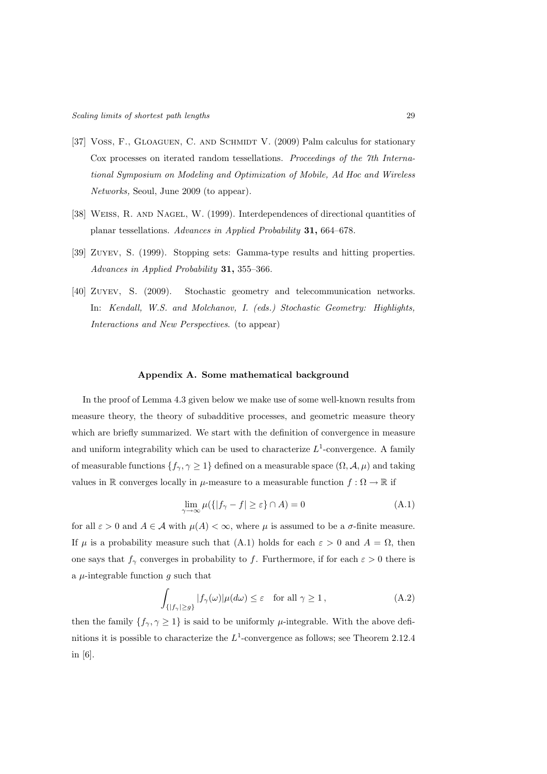- [37] VOSS, F., GLOAGUEN, C. AND SCHMIDT V. (2009) Palm calculus for stationary Cox processes on iterated random tessellations. *Proceedings of the 7th International Symposium on Modeling and Optimization of Mobile, Ad Hoc and Wireless Networks,* Seoul, June 2009 (to appear).
- [38] Weiss, R. and Nagel, W. (1999). Interdependences of directional quantities of planar tessellations. *Advances in Applied Probability* 31, 664–678.
- [39] Zuyev, S. (1999). Stopping sets: Gamma-type results and hitting properties. *Advances in Applied Probability* 31, 355–366.
- [40] Zuyev, S. (2009). Stochastic geometry and telecommunication networks. In: *Kendall, W.S. and Molchanov, I. (eds.) Stochastic Geometry: Highlights, Interactions and New Perspectives*. (to appear)

# Appendix A. Some mathematical background

In the proof of Lemma 4.3 given below we make use of some well-known results from measure theory, the theory of subadditive processes, and geometric measure theory which are briefly summarized. We start with the definition of convergence in measure and uniform integrability which can be used to characterize  $L^1$ -convergence. A family of measurable functions  $\{f_\gamma, \gamma \geq 1\}$  defined on a measurable space  $(\Omega, \mathcal{A}, \mu)$  and taking values in R converges locally in  $\mu$ -measure to a measurable function  $f : \Omega \to \mathbb{R}$  if

$$
\lim_{\gamma \to \infty} \mu({\{|f_{\gamma} - f| \ge \varepsilon\}} \cap A) = 0
$$
\n(A.1)

for all  $\varepsilon > 0$  and  $A \in \mathcal{A}$  with  $\mu(A) < \infty$ , where  $\mu$  is assumed to be a  $\sigma$ -finite measure. If  $\mu$  is a probability measure such that (A.1) holds for each  $\varepsilon > 0$  and  $A = \Omega$ , then one says that  $f_{\gamma}$  converges in probability to f. Furthermore, if for each  $\varepsilon > 0$  there is a  $\mu$ -integrable function g such that

$$
\int_{\{|f_{\gamma}| \ge g\}} |f_{\gamma}(\omega)| \mu(d\omega) \le \varepsilon \quad \text{for all } \gamma \ge 1,
$$
\n(A.2)

then the family  $\{f_{\gamma}, \gamma \geq 1\}$  is said to be uniformly  $\mu$ -integrable. With the above definitions it is possible to characterize the  $L^1$ -convergence as follows; see Theorem 2.12.4 in [6].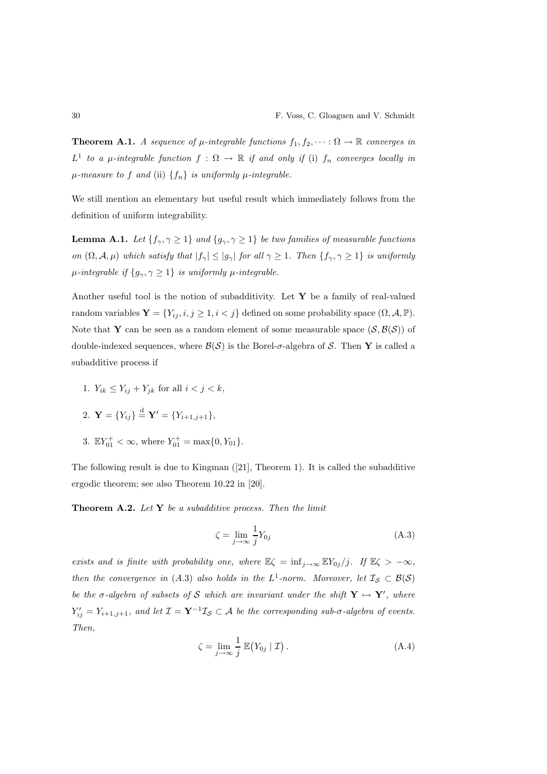**Theorem A.1.** *A sequence of*  $\mu$ *-integrable functions*  $f_1, f_2, \cdots : \Omega \to \mathbb{R}$  *converges in*  $L^1$  to a  $\mu$ -integrable function  $f : \Omega \to \mathbb{R}$  if and only if (i)  $f_n$  converges locally in  $\mu$ -measure to f and (ii)  $\{f_n\}$  *is uniformly*  $\mu$ -integrable.

We still mention an elementary but useful result which immediately follows from the definition of uniform integrability.

**Lemma A.1.** *Let*  $\{f_{\gamma}, \gamma \geq 1\}$  *and*  $\{g_{\gamma}, \gamma \geq 1\}$  *be two families of measurable functions on*  $(\Omega, \mathcal{A}, \mu)$  *which satisfy that*  $|f_{\gamma}| \leq |g_{\gamma}|$  *for all*  $\gamma \geq 1$ *. Then*  $\{f_{\gamma}, \gamma \geq 1\}$  *is uniformly*  $\mu$ *-integrable if*  $\{g_{\gamma}, \gamma \geq 1\}$  *is uniformly*  $\mu$ *-integrable.* 

Another useful tool is the notion of subadditivity. Let  $Y$  be a family of real-valued random variables  $\mathbf{Y} = \{Y_{ij}, i, j \geq 1, i < j\}$  defined on some probability space  $(\Omega, \mathcal{A}, \mathbb{P})$ . Note that Y can be seen as a random element of some measurable space  $(S, \mathcal{B}(S))$  of double-indexed sequences, where  $\mathcal{B}(\mathcal{S})$  is the Borel- $\sigma$ -algebra of S. Then Y is called a subadditive process if

1.  $Y_{ik} \leq Y_{ij} + Y_{jk}$  for all  $i < j < k$ ,

2. **Y** = 
$$
\{Y_{ij}\}\stackrel{d}{=}\mathbf{Y}' = \{Y_{i+1,j+1}\},\
$$

3.  $\mathbb{E}Y_{01}^+ < \infty$ , where  $Y_{01}^+ = \max\{0, Y_{01}\}.$ 

The following result is due to Kingman ([21], Theorem 1). It is called the subadditive ergodic theorem; see also Theorem 10.22 in [20].

Theorem A.2. *Let* Y *be a subadditive process. Then the limit*

$$
\zeta = \lim_{j \to \infty} \frac{1}{j} Y_{0j} \tag{A.3}
$$

*exists and is finite with probability one, where*  $\mathbb{E}\zeta = \inf_{j\to\infty} \mathbb{E}Y_{0j}/j$ *. If*  $\mathbb{E}\zeta > -\infty$ *, then the convergence in* (A.3) also holds in the  $L^1$ -norm. Moreover, let  $\mathcal{I}_{\mathcal{S}} \subset \mathcal{B}(\mathcal{S})$ *be the*  $\sigma$ -algebra of subsets of S which are invariant under the shift  $Y \mapsto Y'$ , where  $Y'_{ij} = Y_{i+1,j+1}$ , and let  $\mathcal{I} = \mathbf{Y}^{-1} \mathcal{I}_{\mathcal{S}} \subset \mathcal{A}$  be the corresponding sub- $\sigma$ -algebra of events. *Then,*

$$
\zeta = \lim_{j \to \infty} \frac{1}{j} \mathbb{E}(Y_{0j} | \mathcal{I}). \tag{A.4}
$$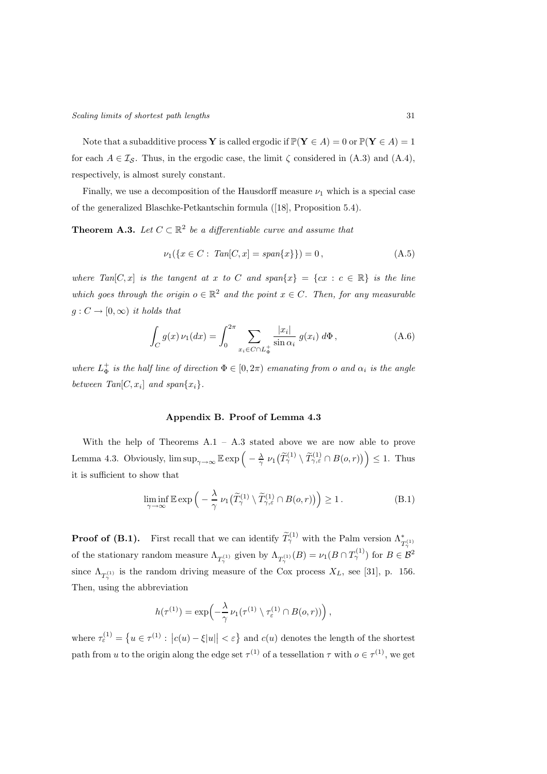Note that a subadditive process Y is called ergodic if  $\mathbb{P}(Y \in A) = 0$  or  $\mathbb{P}(Y \in A) = 1$ for each  $A \in \mathcal{I}_{\mathcal{S}}$ . Thus, in the ergodic case, the limit  $\zeta$  considered in (A.3) and (A.4), respectively, is almost surely constant.

Finally, we use a decomposition of the Hausdorff measure  $\nu_1$  which is a special case of the generalized Blaschke-Petkantschin formula ([18], Proposition 5.4).

**Theorem A.3.** Let  $C \subset \mathbb{R}^2$  be a differentiable curve and assume that

$$
\nu_1(\{x \in C : \operatorname{Tan}[C, x] = \operatorname{span}\{x\}\}) = 0, \tag{A.5}
$$

*where Tan*[C, x] *is the tangent at* x to C and span{ $x$ } = {cx : c  $\in \mathbb{R}$ } *is the line which goes through the origin*  $o \in \mathbb{R}^2$  *and the point*  $x \in C$ *. Then, for any measurable*  $g: C \to [0, \infty)$  *it holds that* 

$$
\int_C g(x) \nu_1(dx) = \int_0^{2\pi} \sum_{x_i \in C \cap L_{\Phi}^+} \frac{|x_i|}{\sin \alpha_i} g(x_i) \, d\Phi,
$$
\n(A.6)

*where*  $L^{\pm}_{\Phi}$  *is the half line of direction*  $\Phi \in [0, 2\pi)$  *emanating from o and*  $\alpha_i$  *is the angle* between  $Tan[C, x_i]$  and  $span\{x_i\}$ .

## Appendix B. Proof of Lemma 4.3

With the help of Theorems A.1 – A.3 stated above we are now able to prove Lemma 4.3. Obviously,  $\limsup_{\gamma \to \infty} \mathbb{E} \exp \left(-\frac{\lambda}{\gamma} \nu_1(\widetilde{T}_{\gamma}^{(1)} \setminus \widetilde{T}_{\gamma,\varepsilon}^{(1)} \cap B(o,r))\right) \leq 1$ . Thus it is sufficient to show that

$$
\liminf_{\gamma \to \infty} \mathbb{E} \exp \left( -\frac{\lambda}{\gamma} \nu_1 \left( \widetilde{T}_{\gamma}^{(1)} \setminus \widetilde{T}_{\gamma,\varepsilon}^{(1)} \cap B(o,r) \right) \right) \ge 1. \tag{B.1}
$$

**Proof of (B.1).** First recall that we can identify  $\widetilde{T}_{\gamma}^{(1)}$  with the Palm version  $\Lambda_{T_{\gamma}^{(1)}}^*$ of the stationary random measure  $\Lambda_{T_{\gamma}^{(1)}}$  given by  $\Lambda_{T_{\gamma}^{(1)}}(B) = \nu_1(B \cap T_{\gamma}^{(1)})$  for  $B \in \mathcal{B}^2$ since  $\Lambda_{T_{\gamma}^{(1)}}$  is the random driving measure of the Cox process  $X_L$ , see [31], p. 156. Then, using the abbreviation

$$
h(\tau^{(1)}) = \exp\left(-\frac{\lambda}{\gamma} \nu_1(\tau^{(1)} \setminus \tau_{\varepsilon}^{(1)} \cap B(o, r))\right),\,
$$

where  $\tau_{\varepsilon}^{(1)} = \{ u \in \tau^{(1)} : |c(u) - \xi|u|| < \varepsilon \}$  and  $c(u)$  denotes the length of the shortest path from u to the origin along the edge set  $\tau^{(1)}$  of a tessellation  $\tau$  with  $o \in \tau^{(1)}$ , we get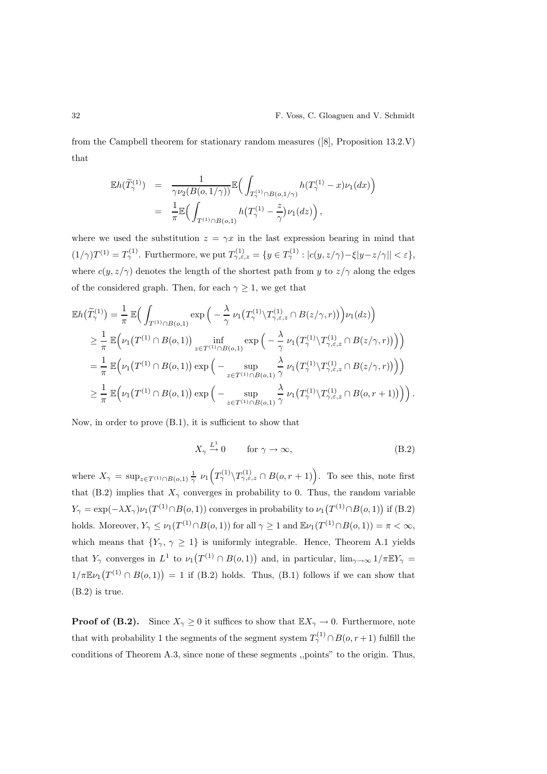from the Campbell theorem for stationary random measures ([8], Proposition 13.2.V) that

$$
\mathbb{E}h(\widetilde{T}_{\gamma}^{(1)}) = \frac{1}{\gamma\nu_2(B(o,1/\gamma))}\mathbb{E}\Big(\int_{T_{\gamma}^{(1)}\cap B(o,1/\gamma)}h(T_{\gamma}^{(1)}-x)\nu_1(dx)\Big)
$$
  

$$
= \frac{1}{\pi}\mathbb{E}\Big(\int_{T^{(1)}\cap B(o,1)}h\big(T_{\gamma}^{(1)}-\frac{z}{\gamma}\big)\nu_1(dz)\Big),
$$

where we used the substitution  $z = \gamma x$  in the last expression bearing in mind that  $(1/\gamma)T^{(1)} = T^{(1)}_{\gamma}$ . Furthermore, we put  $T^{(1)}_{\gamma,\varepsilon,z} = \{y \in T^{(1)}_{\gamma} : |c(y,z/\gamma) - \xi|y - z/\gamma| | < \varepsilon \},\$ where  $c(y, z/\gamma)$  denotes the length of the shortest path from y to  $z/\gamma$  along the edges of the considered graph. Then, for each  $\gamma \geq 1$ , we get that

$$
\mathbb{E}h(\widetilde{T}_{\gamma}^{(1)}) = \frac{1}{\pi} \mathbb{E}\Big(\int_{T^{(1)}\cap B(o,1)} \exp\Big(-\frac{\lambda}{\gamma} \nu_1\big(T_{\gamma}^{(1)}\setminus T_{\gamma,\varepsilon,z}^{(1)}\cap B(z/\gamma,r)\big)\Big)\nu_1(dz)\Big)
$$
  
\n
$$
\geq \frac{1}{\pi} \mathbb{E}\Big(\nu_1\big(T^{(1)}\cap B(o,1)\big)\inf_{z\in T^{(1)}\cap B(o,1)} \exp\Big(-\frac{\lambda}{\gamma} \nu_1\big(T_{\gamma}^{(1)}\setminus T_{\gamma,\varepsilon,z}^{(1)}\cap B(z/\gamma,r)\big)\Big)\Big)
$$
  
\n
$$
= \frac{1}{\pi} \mathbb{E}\Big(\nu_1\big(T^{(1)}\cap B(o,1)\big)\exp\Big(-\sup_{z\in T^{(1)}\cap B(o,1)} \frac{\lambda}{\gamma} \nu_1\big(T_{\gamma}^{(1)}\setminus T_{\gamma,\varepsilon,z}^{(1)}\cap B(z/\gamma,r)\big)\Big)\Big)
$$
  
\n
$$
\geq \frac{1}{\pi} \mathbb{E}\Big(\nu_1\big(T^{(1)}\cap B(o,1)\big)\exp\Big(-\sup_{z\in T^{(1)}\cap B(o,1)} \frac{\lambda}{\gamma} \nu_1\big(T_{\gamma}^{(1)}\setminus T_{\gamma,\varepsilon,z}^{(1)}\cap B(o,r+1)\big)\Big)\Big).
$$

Now, in order to prove (B.1), it is sufficient to show that

$$
X_{\gamma} \xrightarrow{L^1} 0 \qquad \text{for } \gamma \to \infty,
$$
 (B.2)

where  $X_{\gamma} = \sup_{z \in T^{(1)} \cap B(o,1)} \frac{1}{\gamma} \nu_1(T^{(1)}_{\gamma} \setminus T^{(1)}_{\gamma,\varepsilon,z} \cap B(o,r+1)).$  To see this, note first that (B.2) implies that  $X_{\gamma}$  converges in probability to 0. Thus, the random variable  $Y_{\gamma} = \exp(-\lambda X_{\gamma})\nu_1(T^{(1)} \cap B(o, 1))$  converges in probability to  $\nu_1(T^{(1)} \cap B(o, 1))$  if  $(B.2)$ holds. Moreover,  $Y_{\gamma} \leq \nu_1(T^{(1)} \cap B(o, 1))$  for all  $\gamma \geq 1$  and  $\mathbb{E}\nu_1(T^{(1)} \cap B(o, 1)) = \pi < \infty$ , which means that  $\{Y_{\gamma}, \gamma \geq 1\}$  is uniformly integrable. Hence, Theorem A.1 yields that  $Y_\gamma$  converges in  $L^1$  to  $\nu_1(T^{(1)} \cap B(o, 1))$  and, in particular,  $\lim_{\gamma \to \infty} 1/\pi \mathbb{E} Y_\gamma =$  $1/\pi \mathbb{E} \nu_1(T^{(1)} \cap B(o, 1)) = 1$  if (B.2) holds. Thus, (B.1) follows if we can show that (B.2) is true.

**Proof of (B.2).** Since  $X_{\gamma} \ge 0$  it suffices to show that  $\mathbb{E}X_{\gamma} \to 0$ . Furthermore, note that with probability 1 the segments of the segment system  $T_{\gamma}^{(1)} \cap B(o, r + 1)$  fulfill the conditions of Theorem A.3, since none of these segments ,,points" to the origin. Thus,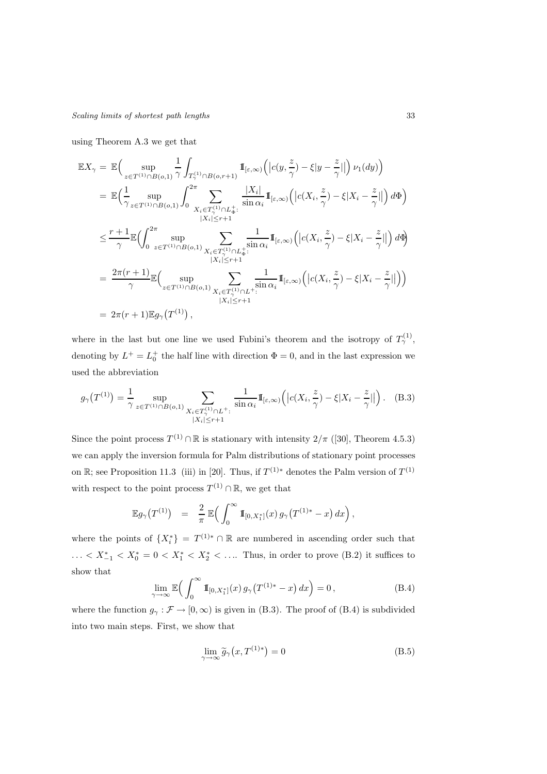using Theorem A.3 we get that

$$
\mathbb{E}X_{\gamma} = \mathbb{E}\Big(\sup_{z \in T^{(1)} \cap B(o,1)} \frac{1}{\gamma} \int_{T_{\gamma}^{(1)} \cap B(o,r+1)} \mathbb{I}_{[\varepsilon,\infty)}\Big(|c(y,\frac{z}{\gamma}) - \xi|y - \frac{z}{\gamma}|\Big) \nu_1(dy)\Big)
$$
\n
$$
= \mathbb{E}\Big(\frac{1}{\gamma} \sup_{z \in T^{(1)} \cap B(o,1)} \int_0^{2\pi} \sum_{\substack{X_i \in T_{\gamma}^{(1)} \cap L_{\Phi}^+ : \\ |X_i| \leq r+1}} \frac{|X_i|}{\sin \alpha_i} \mathbb{I}_{[\varepsilon,\infty)}\Big(|c(X_i,\frac{z}{\gamma}) - \xi|X_i - \frac{z}{\gamma}|\Big) d\Phi\Big)
$$
\n
$$
\leq \frac{r+1}{\gamma} \mathbb{E}\Big(\int_0^{2\pi} \sup_{z \in T^{(1)} \cap B(o,1)} \sum_{\substack{X_i \in T_{\gamma}^{(1)} \cap L_{\Phi}^+ : \\ |X_i| \leq r+1}} \frac{1}{\sin \alpha_i} \mathbb{I}_{[\varepsilon,\infty)}\Big(|c(X_i,\frac{z}{\gamma}) - \xi|X_i - \frac{z}{\gamma}|\Big) d\Phi\Big)
$$
\n
$$
= \frac{2\pi(r+1)}{\gamma} \mathbb{E}\Big(\sup_{z \in T^{(1)} \cap B(o,1)} \sum_{\substack{X_i \in T_{\gamma}^{(1)} \cap L^{+}: \\ |X_i| \leq r+1}} \frac{1}{\sin \alpha_i} \mathbb{I}_{[\varepsilon,\infty)}\Big(|c(X_i,\frac{z}{\gamma}) - \xi|X_i - \frac{z}{\gamma}|\Big)\Big)
$$
\n
$$
= 2\pi(r+1) \mathbb{E}g_{\gamma}(T^{(1)}),
$$

where in the last but one line we used Fubini's theorem and the isotropy of  $T_{\gamma}^{(1)}$ , denoting by  $L^+ = L_0^+$  the half line with direction  $\Phi = 0$ , and in the last expression we used the abbreviation

$$
g_{\gamma}(T^{(1)}) = \frac{1}{\gamma} \sup_{z \in T^{(1)} \cap B(o, 1)} \sum_{\substack{X_i \in T^{(1)} \cap L^+ : \\ |X_i| \le r+1}} \frac{1}{\sin \alpha_i} 1\!\!1_{[\varepsilon, \infty)} \left( |c(X_i, \frac{z}{\gamma}) - \xi | X_i - \frac{z}{\gamma} | \right). \tag{B.3}
$$

Since the point process  $T^{(1)} \cap \mathbb{R}$  is stationary with intensity  $2/\pi$  ([30], Theorem 4.5.3) we can apply the inversion formula for Palm distributions of stationary point processes on R; see Proposition 11.3 (iii) in [20]. Thus, if  $T^{(1)*}$  denotes the Palm version of  $T^{(1)}$ with respect to the point process  $T^{(1)} \cap \mathbb{R}$ , we get that

$$
\mathbb{E} g_{\gamma}(T^{(1)}) = \frac{2}{\pi} \mathbb{E} \Big( \int_0^{\infty} \mathbb{I}_{[0,X_1^*]}(x) g_{\gamma}(T^{(1)*}-x) dx \Big),
$$

where the points of  $\{X_i^*\} = T^{(1)*} \cap \mathbb{R}$  are numbered in ascending order such that ...  $X_{-1}^* < X_0^* = 0 < X_1^* < X_2^* < \dots$  Thus, in order to prove (B.2) it suffices to show that

$$
\lim_{\gamma \to \infty} \mathbb{E}\Big(\int_0^\infty \mathbb{1}_{[0,X_1^*]}(x) g_\gamma \big(T^{(1)*} - x\big) dx\Big) = 0,
$$
\n(B.4)

where the function  $g_{\gamma} : \mathcal{F} \to [0, \infty)$  is given in (B.3). The proof of (B.4) is subdivided into two main steps. First, we show that

$$
\lim_{\gamma \to \infty} \widetilde{g}_{\gamma}(x, T^{(1)*}) = 0
$$
\n(B.5)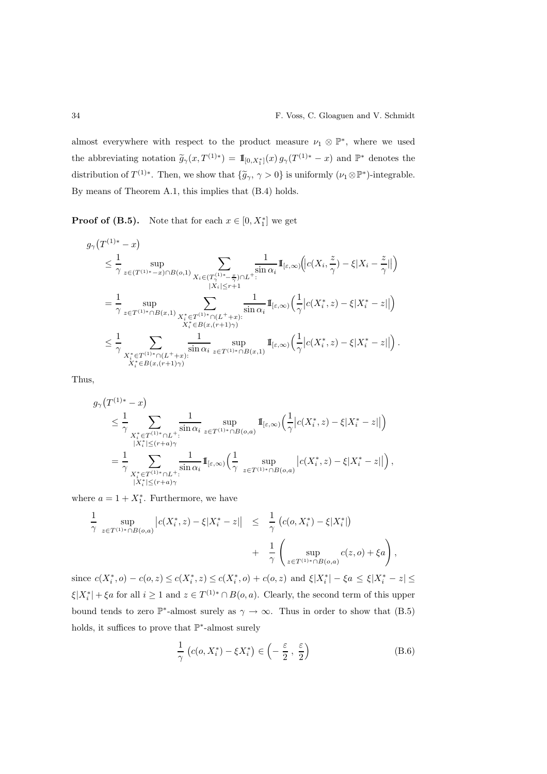almost everywhere with respect to the product measure  $\nu_1 \otimes \mathbb{P}^*$ , where we used the abbreviating notation  $\tilde{g}_{\gamma}(x,T^{(1)*}) = \mathbb{I}_{[0,X_1^*]}(x) g_{\gamma}(T^{(1)*}-x)$  and  $\mathbb{P}^*$  denotes the distribution of  $T^{(1)*}$ . Then, we show that  $\{\tilde{g}_{\gamma}, \gamma > 0\}$  is uniformly  $(\nu_1 \otimes \mathbb{P}^*)$ -integrable. By means of Theorem A.1, this implies that (B.4) holds.

**Proof of (B.5).** Note that for each  $x \in [0, X_1^*]$  we get

$$
\begin{split} &g_{\gamma}\big(T^{(1)*}-x\big)\\ &\leq \frac{1}{\gamma}\sup_{z\in (T^{(1)*}-x)\cap B(o,1)}\sum_{\substack{X_i\in (T^{(1)*}-\frac{x}{\gamma})\cap L^{+}:\\|X_i|\leq r+1}}\frac{1}{\sin\alpha_i}\mathrm{I}_{[\varepsilon,\infty)}\bigg(|c(X_i,\frac{z}{\gamma})-\xi|X_i-\frac{z}{\gamma}|\big|\bigg)\\ &=\frac{1}{\gamma}\sup_{z\in T^{(1)*}\cap B(x,1)}\sum_{\substack{X_i^*\in T^{(1)*}\cap (L^++x):\\X_i^*\in B(x,(r+1)\gamma)}}\frac{1}{\sin\alpha_i}\mathrm{I}_{[\varepsilon,\infty)}\bigg(\frac{1}{\gamma}\big|c(X_i^*,z)-\xi|X_i^*-z|\big|\big)\\ &\leq \frac{1}{\gamma}\sum_{\substack{X_i^*\in T^{(1)*}\cap (L^++x):\\X_i^*\in B(x,(r+1)\gamma)}}\frac{1}{\sin\alpha_i}\sup_{z\in T^{(1)*}\cap B(x,1)}\mathrm{I}_{[\varepsilon,\infty)}\bigg(\frac{1}{\gamma}\big|c(X_i^*,z)-\xi|X_i^*-z|\big|\big)\,. \end{split}
$$

Thus,

$$
\begin{split} g_{\gamma}\big(T^{(1)*}-x\big) \\ &\leq \frac{1}{\gamma}\sum_{\substack{X_i^*\in T^{(1)*}\cap L^+:\\|X_i^*|\leq (r+a)\gamma}}\frac{1}{\sin\alpha_i}\sup_{z\in T^{(1)*}\cap B(o,a)}\mathbb{I}_{[\varepsilon,\infty)}\Big(\frac{1}{\gamma}\big|c(X_i^*,z)-\xi|X_i^*-z|\big|\Big) \\ &=\frac{1}{\gamma}\sum_{\substack{X_i^*\in T^{(1)*}\cap L^+:\\|X_i^*|\leq (r+a)\gamma}}\frac{1}{\sin\alpha_i}\mathbb{I}_{[\varepsilon,\infty)}\Big(\frac{1}{\gamma}\sup_{z\in T^{(1)*}\cap B(o,a)}\big|c(X_i^*,z)-\xi|X_i^*-z|\big|\Big)\,, \end{split}
$$

where  $a = 1 + X_1^*$ . Furthermore, we have

$$
\frac{1}{\gamma} \sup_{z \in T^{(1)*} \cap B(o,a)} |c(X_i^*, z) - \xi | X_i^* - z|| \leq \frac{1}{\gamma} (c(o, X_i^*) - \xi | X_i^*|) \n+ \frac{1}{\gamma} \left( \sup_{z \in T^{(1)*} \cap B(o,a)} c(z, o) + \xi a \right)
$$

since  $c(X_i^*, o) - c(o, z) \le c(X_i^*, z) \le c(X_i^*, o) + c(o, z)$  and  $\xi |X_i^*| - \xi a \le \xi |X_i^* - z| \le$  $\xi|X_i^*| + \xi a$  for all  $i \ge 1$  and  $z \in T^{(1)*} \cap B(o, a)$ . Clearly, the second term of this upper bound tends to zero  $\mathbb{P}^*$ -almost surely as  $\gamma \to \infty$ . Thus in order to show that (B.5) holds, it suffices to prove that  $\mathbb{P}^*$ -almost surely

$$
\frac{1}{\gamma} \left( c(o, X_i^*) - \xi X_i^* \right) \in \left( -\frac{\varepsilon}{2}, \frac{\varepsilon}{2} \right) \tag{B.6}
$$

,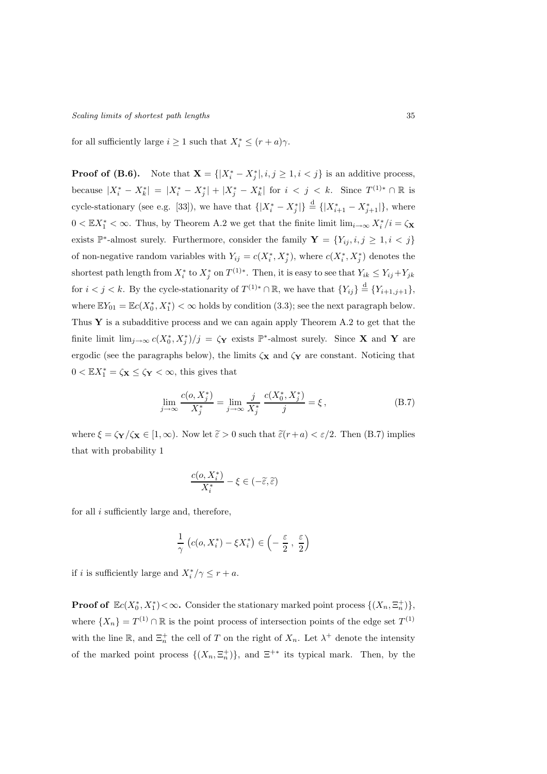for all sufficiently large  $i \geq 1$  such that  $X_i^* \leq (r+a)\gamma$ .

**Proof of (B.6).** Note that  $\mathbf{X} = \{ |X_i^* - X_j^*|, i, j \geq 1, i < j \}$  is an additive process, because  $|X_i^* - X_k^*| = |X_i^* - X_j^*| + |X_j^* - X_k^*|$  for  $i < j < k$ . Since  $T^{(1)*} \cap \mathbb{R}$  is cycle-stationary (see e.g. [33]), we have that  $\{|X_i^* - X_j^*|\} \stackrel{d}{=} \{|X_{i+1}^* - X_{j+1}^*|\}$ , where  $0 < \mathbb{E}X_1^* < \infty$ . Thus, by Theorem A.2 we get that the finite limit  $\lim_{i\to\infty} X_i^*/i = \zeta_{\mathbf{X}}$ exists  $\mathbb{P}^*$ -almost surely. Furthermore, consider the family  $\mathbf{Y} = \{Y_{ij}, i, j \geq 1, i < j\}$ of non-negative random variables with  $Y_{ij} = c(X_i^*, X_j^*)$ , where  $c(X_i^*, X_j^*)$  denotes the shortest path length from  $X_i^*$  to  $X_j^*$  on  $T^{(1)*}$ . Then, it is easy to see that  $Y_{ik} \leq Y_{ij} + Y_{jk}$ for  $i < j < k$ . By the cycle-stationarity of  $T^{(1)*} \cap \mathbb{R}$ , we have that  $\{Y_{ij}\} \stackrel{d}{=} \{Y_{i+1,j+1}\},\$ where  $\mathbb{E}Y_{01} = \mathbb{E}c(X_0^*, X_1^*) < \infty$  holds by condition (3.3); see the next paragraph below. Thus  $\mathbf Y$  is a subadditive process and we can again apply Theorem A.2 to get that the finite limit  $\lim_{j\to\infty} c(X_0^*, X_j^*)/j = \zeta_{\mathbf{Y}}$  exists  $\mathbb{P}^*$ -almost surely. Since **X** and **Y** are ergodic (see the paragraphs below), the limits  $\zeta_{\mathbf{X}}$  and  $\zeta_{\mathbf{Y}}$  are constant. Noticing that  $0 < \mathbb{E}X_1^* = \zeta_{\mathbf{X}} \leq \zeta_{\mathbf{Y}} < \infty$ , this gives that

$$
\lim_{j \to \infty} \frac{c(o, X_j^*)}{X_j^*} = \lim_{j \to \infty} \frac{j}{X_j^*} \frac{c(X_0^*, X_j^*)}{j} = \xi,
$$
\n(B.7)

where  $\xi = \zeta_Y/\zeta_X \in [1,\infty)$ . Now let  $\tilde{\varepsilon} > 0$  such that  $\tilde{\varepsilon}(r+a) < \varepsilon/2$ . Then (B.7) implies that with probability 1

$$
\frac{c(o,X^*_i)}{X^*_i}-\xi\in(-\widetilde{\varepsilon},\widetilde{\varepsilon})
$$

for all i sufficiently large and, therefore,

$$
\frac{1}{\gamma} \left( c(o, X_i^*) - \xi X_i^* \right) \in \left( -\frac{\varepsilon}{2}, \frac{\varepsilon}{2} \right)
$$

if *i* is sufficiently large and  $X_i^*/\gamma \le r + a$ .

**Proof of**  $\mathbb{E}c(X_0^*, X_1^*) < \infty$ . Consider the stationary marked point process  $\{(X_n, \Xi_n^+)\},$ where  $\{X_n\} = T^{(1)} \cap \mathbb{R}$  is the point process of intersection points of the edge set  $T^{(1)}$ with the line  $\mathbb{R}$ , and  $\Xi_n^+$  the cell of T on the right of  $X_n$ . Let  $\lambda^+$  denote the intensity of the marked point process  $\{(X_n, \Xi_n^+)\}$ , and  $\Xi^{+*}$  its typical mark. Then, by the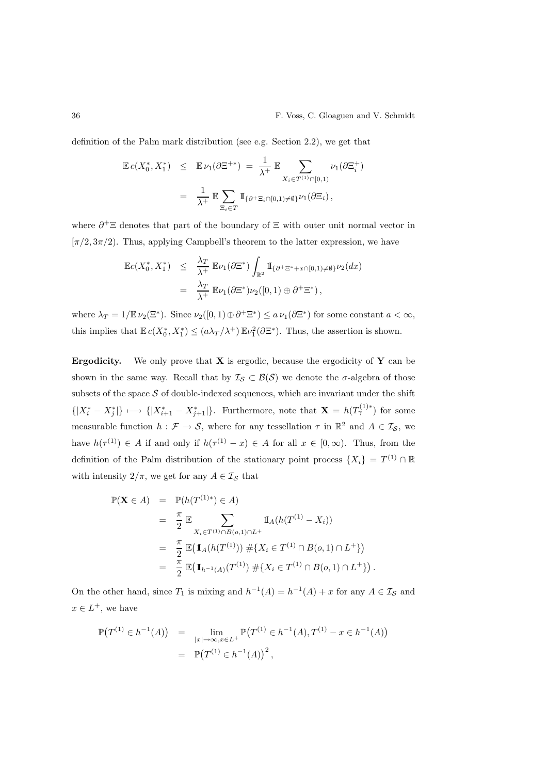definition of the Palm mark distribution (see e.g. Section 2.2), we get that

$$
\mathbb{E} c(X_0^*, X_1^*) \leq \mathbb{E} \nu_1(\partial \Xi^{+*}) = \frac{1}{\lambda^+} \mathbb{E} \sum_{X_i \in T^{(1)} \cap [0,1)} \nu_1(\partial \Xi_i^+)
$$
  

$$
= \frac{1}{\lambda^+} \mathbb{E} \sum_{\Xi_i \in T} \mathbb{1}_{\{\partial^+ \Xi_i \cap [0,1) \neq \emptyset\}} \nu_1(\partial \Xi_i),
$$

where  $\partial^+ \Xi$  denotes that part of the boundary of  $\Xi$  with outer unit normal vector in  $[\pi/2, 3\pi/2]$ . Thus, applying Campbell's theorem to the latter expression, we have

$$
\mathbb{E}c(X_0^*, X_1^*) \leq \frac{\lambda_T}{\lambda^+} \mathbb{E}\nu_1(\partial \Xi^*) \int_{\mathbb{R}^2} \mathbb{I}_{\{\partial^+ \Xi^* + x \cap [0,1) \neq \emptyset\}} \nu_2(dx)
$$
  
= 
$$
\frac{\lambda_T}{\lambda^+} \mathbb{E}\nu_1(\partial \Xi^*) \nu_2([0,1) \oplus \partial^+ \Xi^*),
$$

where  $\lambda_T = 1/\mathbb{E} \nu_2(\Xi^*)$ . Since  $\nu_2([0,1) \oplus \partial^+ \Xi^*) \le a \nu_1(\partial \Xi^*)$  for some constant  $a < \infty$ , this implies that  $\mathbb{E} c(X_0^*, X_1^*) \leq (a\lambda_T/\lambda^+) \mathbb{E} \nu_1^2(\partial \Xi^*)$ . Thus, the assertion is shown.

**Ergodicity.** We only prove that  $X$  is ergodic, because the ergodicity of  $Y$  can be shown in the same way. Recall that by  $\mathcal{I}_{\mathcal{S}} \subset \mathcal{B}(\mathcal{S})$  we denote the  $\sigma$ -algebra of those subsets of the space  $S$  of double-indexed sequences, which are invariant under the shift  ${|X_i^* - X_j^*|}\longmapsto {|X_{i+1}^* - X_{j+1}^*|}$ . Furthermore, note that  $\mathbf{X} = h(T_\gamma^{(1)*})$  for some measurable function  $h: \mathcal{F} \to \mathcal{S}$ , where for any tessellation  $\tau$  in  $\mathbb{R}^2$  and  $A \in \mathcal{I}_{\mathcal{S}}$ , we have  $h(\tau^{(1)}) \in A$  if and only if  $h(\tau^{(1)} - x) \in A$  for all  $x \in [0, \infty)$ . Thus, from the definition of the Palm distribution of the stationary point process  $\{X_i\} = T^{(1)} \cap \mathbb{R}$ with intensity  $2/\pi$ , we get for any  $A \in \mathcal{I}_{\mathcal{S}}$  that

$$
\mathbb{P}(\mathbf{X} \in A) = \mathbb{P}(h(T^{(1)*}) \in A)
$$
  
\n
$$
= \frac{\pi}{2} \mathbb{E} \sum_{X_i \in T^{(1)} \cap B(o, 1) \cap L^{+}} \mathbb{I}_{A}(h(T^{(1)} - X_i))
$$
  
\n
$$
= \frac{\pi}{2} \mathbb{E}(\mathbb{I}_{A}(h(T^{(1)})) \# \{X_i \in T^{(1)} \cap B(o, 1) \cap L^{+}\})
$$
  
\n
$$
= \frac{\pi}{2} \mathbb{E}(\mathbb{I}_{h^{-1}(A)}(T^{(1)}) \# \{X_i \in T^{(1)} \cap B(o, 1) \cap L^{+}\}).
$$

On the other hand, since  $T_1$  is mixing and  $h^{-1}(A) = h^{-1}(A) + x$  for any  $A \in \mathcal{I}_{\mathcal{S}}$  and  $x \in L^+$ , we have

$$
\mathbb{P}(T^{(1)} \in h^{-1}(A)) = \lim_{|x| \to \infty, x \in L^{+}} \mathbb{P}(T^{(1)} \in h^{-1}(A), T^{(1)} - x \in h^{-1}(A))
$$
  
= 
$$
\mathbb{P}(T^{(1)} \in h^{-1}(A))^2,
$$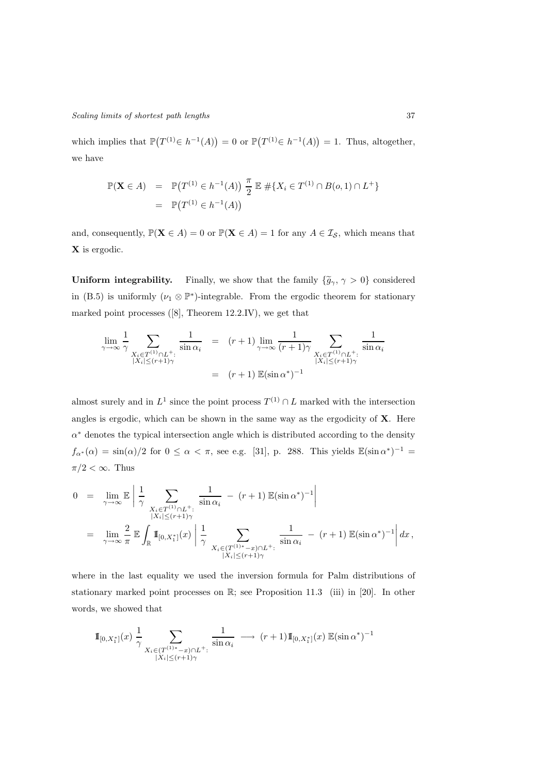which implies that  $\mathbb{P}(T^{(1)} \in h^{-1}(A)) = 0$  or  $\mathbb{P}(T^{(1)} \in h^{-1}(A)) = 1$ . Thus, altogether, we have

$$
\mathbb{P}(\mathbf{X} \in A) = \mathbb{P}(T^{(1)} \in h^{-1}(A)) \frac{\pi}{2} \mathbb{E} \# \{ X_i \in T^{(1)} \cap B(o, 1) \cap L^+ \}
$$
  
=  $\mathbb{P}(T^{(1)} \in h^{-1}(A))$ 

and, consequently,  $\mathbb{P}(\mathbf{X} \in A) = 0$  or  $\mathbb{P}(\mathbf{X} \in A) = 1$  for any  $A \in \mathcal{I}_{\mathcal{S}}$ , which means that X is ergodic.

Uniform integrability. Finally, we show that the family  $\{\tilde{g}_{\gamma}, \gamma > 0\}$  considered in (B.5) is uniformly  $(\nu_1 \otimes \mathbb{P}^*)$ -integrable. From the ergodic theorem for stationary marked point processes ([8], Theorem 12.2.IV), we get that

$$
\lim_{\gamma \to \infty} \frac{1}{\gamma} \sum_{\substack{X_i \in T^{(1)} \cap L^+ : \\ |X_i| \le (r+1)\gamma}} \frac{1}{\sin \alpha_i} = (r+1) \lim_{\gamma \to \infty} \frac{1}{(r+1)\gamma} \sum_{\substack{X_i \in T^{(1)} \cap L^+ : \\ |X_i| \le (r+1)\gamma}} \frac{1}{\sin \alpha_i}
$$
\n
$$
= (r+1) \mathbb{E}(\sin \alpha^*)^{-1}
$$

almost surely and in  $L^1$  since the point process  $T^{(1)} \cap L$  marked with the intersection angles is ergodic, which can be shown in the same way as the ergodicity of  $X$ . Here  $\alpha^*$  denotes the typical intersection angle which is distributed according to the density  $f_{\alpha^*}(\alpha) = \sin(\alpha)/2$  for  $0 \le \alpha < \pi$ , see e.g. [31], p. 288. This yields  $\mathbb{E}(\sin \alpha^*)^{-1} =$  $\pi/2 < \infty$ . Thus

$$
0 = \lim_{\gamma \to \infty} \mathbb{E} \left| \frac{1}{\gamma} \sum_{\substack{X_i \in T^{(1)} \cap L^+ : \\ |X_i| \le (r+1)\gamma}} \frac{1}{\sin \alpha_i} - (r+1) \mathbb{E}(\sin \alpha^*)^{-1} \right|
$$
  
= 
$$
\lim_{\gamma \to \infty} \frac{2}{\pi} \mathbb{E} \int_{\mathbb{R}} \mathbb{I}_{[0,X_1^*]}(x) \left| \frac{1}{\gamma} \sum_{\substack{X_i \in (T^{(1)*}-x) \cap L^+ : \\ |X_i| \le (r+1)\gamma}} \frac{1}{\sin \alpha_i} - (r+1) \mathbb{E}(\sin \alpha^*)^{-1} \right| dx,
$$

where in the last equality we used the inversion formula for Palm distributions of stationary marked point processes on R; see Proposition 11.3 (iii) in [20]. In other words, we showed that

$$
\mathbb{I}_{[0,X_1^*]}(x) \frac{1}{\gamma} \sum_{\substack{X_i \in (T^{(1)*}-x) \cap L^+ : \\ |X_i| \le (r+1)\gamma}} \frac{1}{\sin \alpha_i} \longrightarrow (r+1) \mathbb{I}_{[0,X_1^*]}(x) \mathbb{E}(\sin \alpha^*)^{-1}
$$